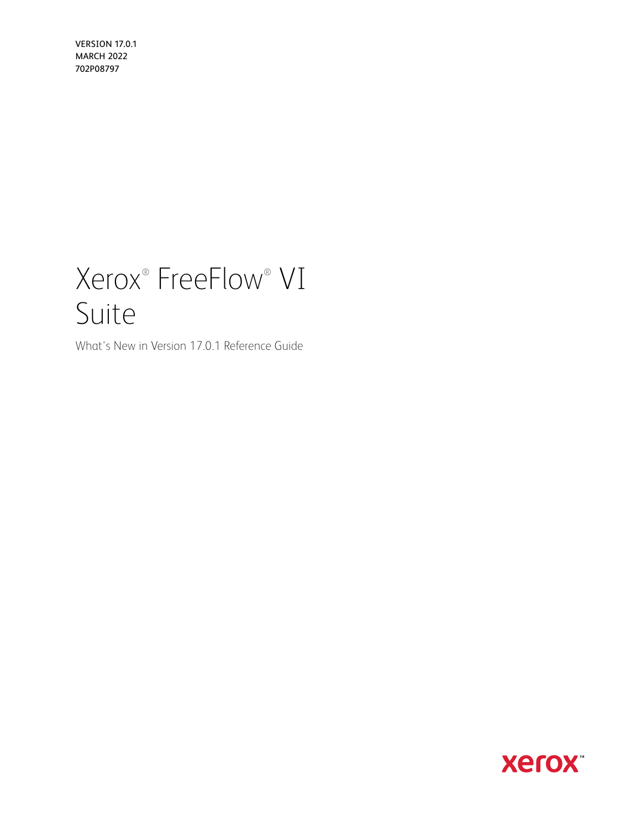VERSION 17.0.1 MARCH 2022 702P08797

# Xerox ® FreeFlow® VI Suite

What's New in Version 17.0.1 Reference Guide

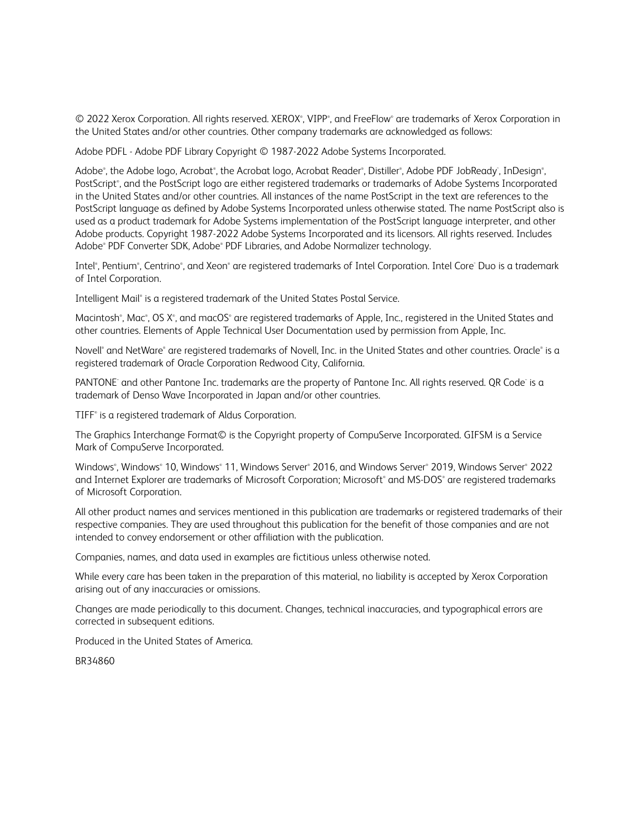© 2022 Xerox Corporation. All rights reserved. XEROX®, VIPP®, and FreeFlow® are trademarks of Xerox Corporation in the United States and/or other countries. Other company trademarks are acknowledged as follows:

Adobe PDFL - Adobe PDF Library Copyright © 1987-2022 Adobe Systems Incorporated.

Adobe®, the Adobe logo, Acrobat®, the Acrobat logo, Acrobat Reader®, Distiller®, Adobe PDF JobReady`, InDesign® , PostScript® , and the PostScript logo are either registered trademarks or trademarks of Adobe Systems Incorporated in the United States and/or other countries. All instances of the name PostScript in the text are references to the PostScript language as defined by Adobe Systems Incorporated unless otherwise stated. The name PostScript also is used as a product trademark for Adobe Systems implementation of the PostScript language interpreter, and other Adobe products. Copyright 1987-2022 Adobe Systems Incorporated and its licensors. All rights reserved. Includes Adobe® PDF Converter SDK, Adobe® PDF Libraries, and Adobe Normalizer technology.

Intel°, Pentium°, Centrino°, and Xeon° are registered trademarks of Intel Corporation. Intel Core` Duo is a trademark of Intel Corporation.

Intelligent Mail® is a registered trademark of the United States Postal Service.

Macintosh®, Mac®, OS X®, and macOS® are registered trademarks of Apple, Inc., registered in the United States and other countries. Elements of Apple Technical User Documentation used by permission from Apple, Inc.

Novell® and NetWare® are registered trademarks of Novell, Inc. in the United States and other countries. Oracle® is a registered trademark of Oracle Corporation Redwood City, California.

PANTONE" and other Pantone Inc. trademarks are the property of Pantone Inc. All rights reserved. QR Code" is a trademark of Denso Wave Incorporated in Japan and/or other countries.

TIFF® is a registered trademark of Aldus Corporation.

The Graphics Interchange Format© is the Copyright property of CompuServe Incorporated. GIFSM is a Service Mark of CompuServe Incorporated.

Windows®, Windows® 10, Windows® 11, Windows Server® 2016, and Windows Server® 2019, Windows Server® 2022 and Internet Explorer are trademarks of Microsoft Corporation; Microsoft® and MS-DOS® are registered trademarks of Microsoft Corporation.

All other product names and services mentioned in this publication are trademarks or registered trademarks of their respective companies. They are used throughout this publication for the benefit of those companies and are not intended to convey endorsement or other affiliation with the publication.

Companies, names, and data used in examples are fictitious unless otherwise noted.

While every care has been taken in the preparation of this material, no liability is accepted by Xerox Corporation arising out of any inaccuracies or omissions.

Changes are made periodically to this document. Changes, technical inaccuracies, and typographical errors are corrected in subsequent editions.

Produced in the United States of America.

BR34860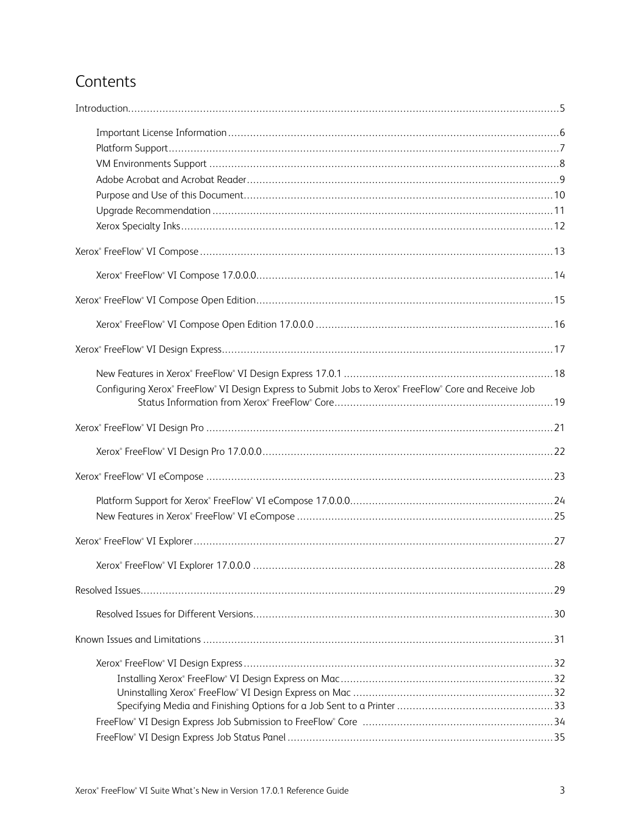## Contents

| Introduction 155                                                                                       |  |
|--------------------------------------------------------------------------------------------------------|--|
|                                                                                                        |  |
|                                                                                                        |  |
|                                                                                                        |  |
|                                                                                                        |  |
|                                                                                                        |  |
|                                                                                                        |  |
|                                                                                                        |  |
|                                                                                                        |  |
|                                                                                                        |  |
|                                                                                                        |  |
|                                                                                                        |  |
|                                                                                                        |  |
| Configuring Xerox® FreeFlow® VI Design Express to Submit Jobs to Xerox® FreeFlow® Core and Receive Job |  |
|                                                                                                        |  |
|                                                                                                        |  |
|                                                                                                        |  |
|                                                                                                        |  |
|                                                                                                        |  |
|                                                                                                        |  |
|                                                                                                        |  |
|                                                                                                        |  |
|                                                                                                        |  |
|                                                                                                        |  |
|                                                                                                        |  |
|                                                                                                        |  |
|                                                                                                        |  |
|                                                                                                        |  |
|                                                                                                        |  |
|                                                                                                        |  |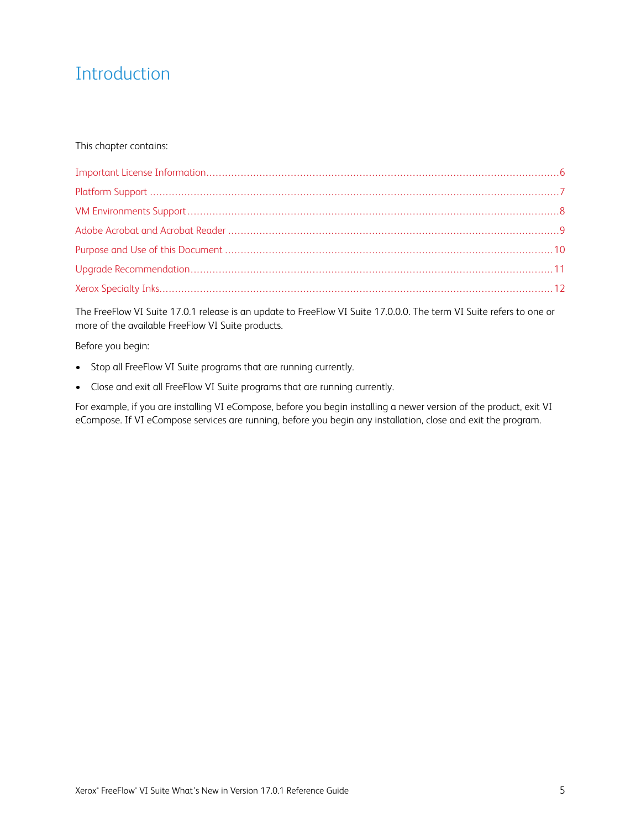## <span id="page-4-0"></span>**Introduction**

#### This chapter contains:

The FreeFlow VI Suite 17.0.1 release is an update to FreeFlow VI Suite 17.0.0.0. The term VI Suite refers to one or more of the available FreeFlow VI Suite products.

Before you begin:

- Stop all FreeFlow VI Suite programs that are running currently.
- Close and exit all FreeFlow VI Suite programs that are running currently.

For example, if you are installing VI eCompose, before you begin installing a newer version of the product, exit VI eCompose. If VI eCompose services are running, before you begin any installation, close and exit the program.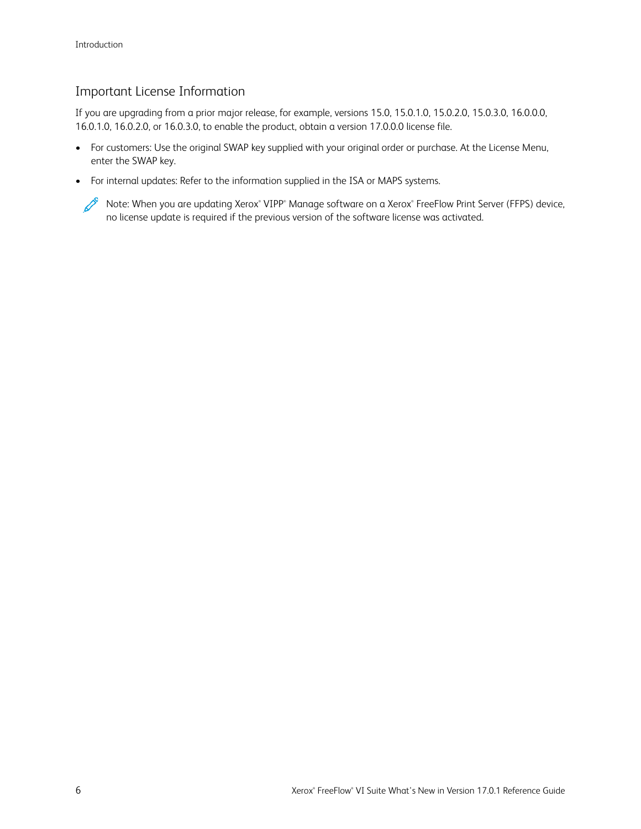### <span id="page-5-0"></span>Important License Information

If you are upgrading from a prior major release, for example, versions 15.0, 15.0.1.0, 15.0.2.0, 15.0.3.0, 16.0.0.0, 16.0.1.0, 16.0.2.0, or 16.0.3.0, to enable the product, obtain a version 17.0.0.0 license file.

- For customers: Use the original SWAP key supplied with your original order or purchase. At the License Menu, enter the SWAP key.
- For internal updates: Refer to the information supplied in the ISA or MAPS systems.

Note: When you are updating Xerox® VIPP® Manage software on a Xerox® FreeFlow Print Server (FFPS) device, no license update is required if the previous version of the software license was activated.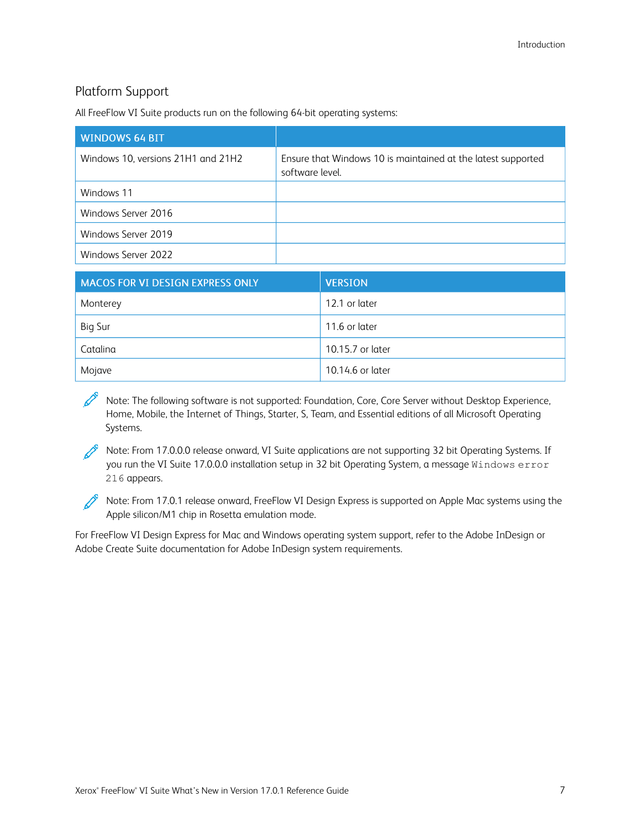### <span id="page-6-0"></span>Platform Support

All FreeFlow VI Suite products run on the following 64-bit operating systems:

| <b>WINDOWS 64 BIT</b>              |                                                                                 |
|------------------------------------|---------------------------------------------------------------------------------|
| Windows 10, versions 21H1 and 21H2 | Ensure that Windows 10 is maintained at the latest supported<br>software level. |
| Windows 11                         |                                                                                 |
| Windows Server 2016                |                                                                                 |
| Windows Server 2019                |                                                                                 |
| Windows Server 2022                |                                                                                 |

| <b>MACOS FOR VI DESIGN EXPRESS ONLY</b> | <b>VERSION</b>   |
|-----------------------------------------|------------------|
| Monterey                                | 12.1 or later    |
| <b>Big Sur</b>                          | 11.6 or later    |
| Catalina                                | 10.15.7 or later |
| Mojave                                  | 10.14.6 or later |

Note: The following software is not supported: Foundation, Core, Core Server without Desktop Experience, Home, Mobile, the Internet of Things, Starter, S, Team, and Essential editions of all Microsoft Operating Systems.

Note: From 17.0.0.0 release onward, VI Suite applications are not supporting 32 bit Operating Systems. If you run the VI Suite 17.0.0.0 installation setup in 32 bit Operating System, a message Windows error 216 appears.

Note: From 17.0.1 release onward, FreeFlow VI Design Express is supported on Apple Mac systems using the Apple silicon/M1 chip in Rosetta emulation mode.

For FreeFlow VI Design Express for Mac and Windows operating system support, refer to the Adobe InDesign or Adobe Create Suite documentation for Adobe InDesign system requirements.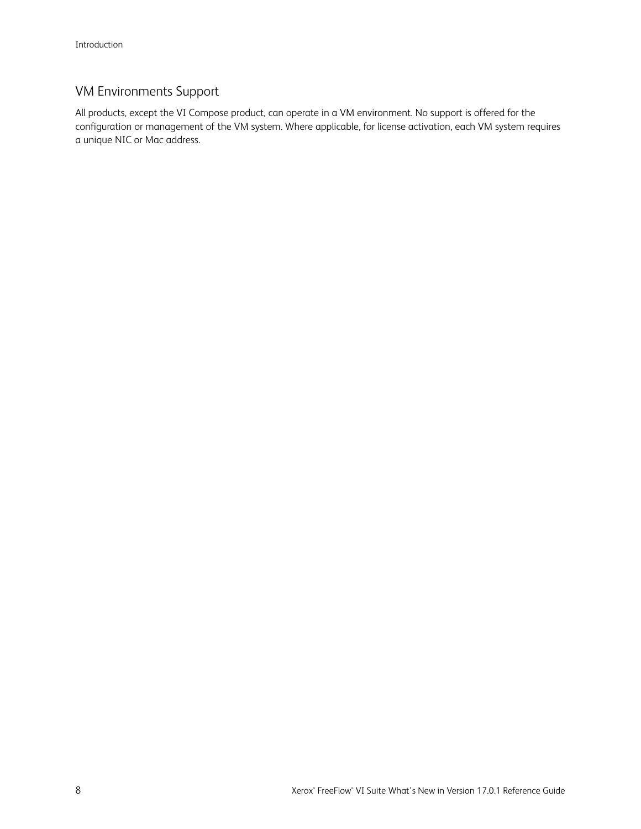## <span id="page-7-0"></span>VM Environments Support

All products, except the VI Compose product, can operate in a VM environment. No support is offered for the configuration or management of the VM system. Where applicable, for license activation, each VM system requires a unique NIC or Mac address.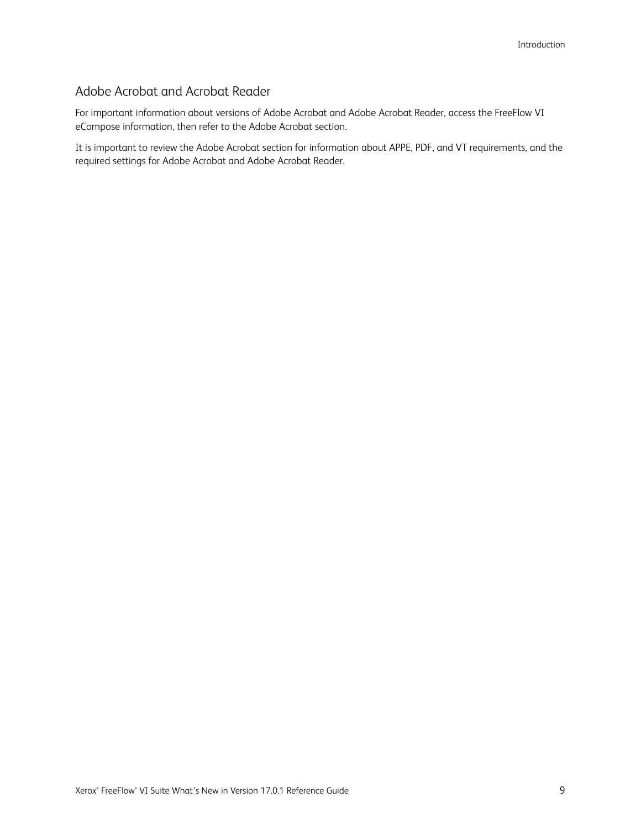### <span id="page-8-0"></span>Adobe Acrobat and Acrobat Reader

For important information about versions of Adobe Acrobat and Adobe Acrobat Reader, access the FreeFlow VI eCompose information, then refer to the Adobe Acrobat section.

It is important to review the Adobe Acrobat section for information about APPE, PDF, and VT requirements, and the required settings for Adobe Acrobat and Adobe Acrobat Reader.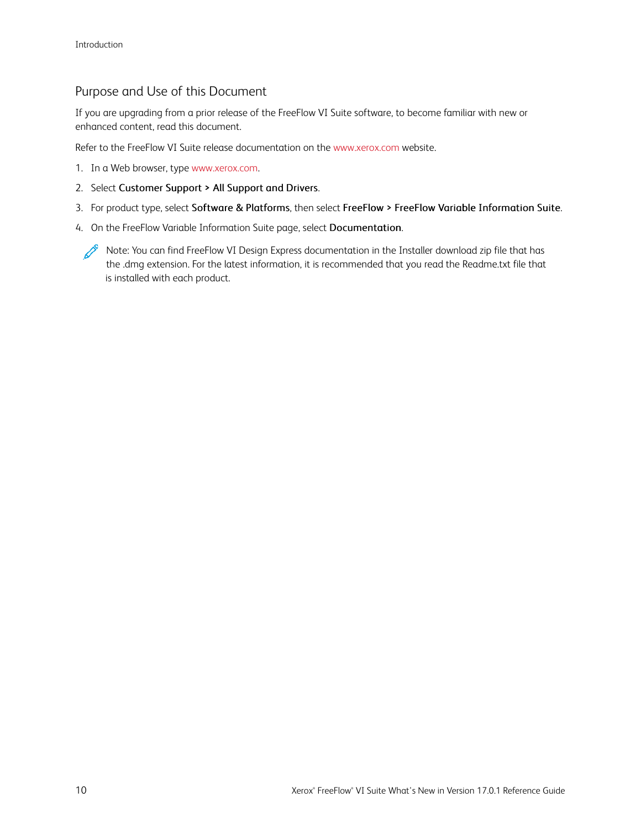## <span id="page-9-0"></span>Purpose and Use of this Document

If you are upgrading from a prior release of the FreeFlow VI Suite software, to become familiar with new or enhanced content, read this document.

Refer to the FreeFlow VI Suite release documentation on the [www.xerox.com](https://www.xerox.com/) website.

- 1. In a Web browser, type [www.xerox.com](https://www.xerox.com).
- 2. Select Customer Support > All Support and Drivers.
- 3. For product type, select Software & Platforms, then select FreeFlow > FreeFlow Variable Information Suite.
- 4. On the FreeFlow Variable Information Suite page, select Documentation.

Note: You can find FreeFlow VI Design Express documentation in the Installer download zip file that has the .dmg extension. For the latest information, it is recommended that you read the Readme.txt file that is installed with each product.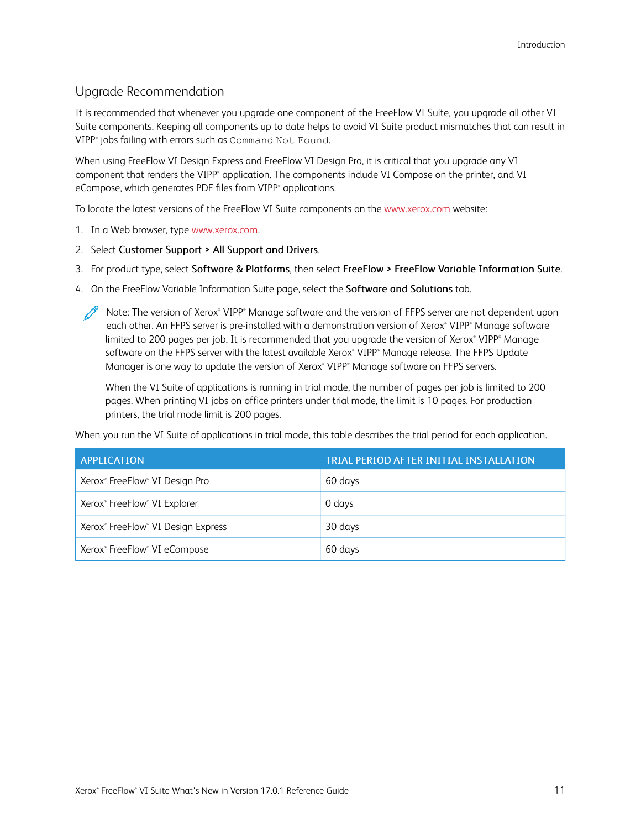### <span id="page-10-0"></span>Upgrade Recommendation

It is recommended that whenever you upgrade one component of the FreeFlow VI Suite, you upgrade all other VI Suite components. Keeping all components up to date helps to avoid VI Suite product mismatches that can result in VIPP® jobs failing with errors such as Command Not Found.

When using FreeFlow VI Design Express and FreeFlow VI Design Pro, it is critical that you upgrade any VI component that renders the VIPP® application. The components include VI Compose on the printer, and VI eCompose, which generates PDF files from VIPP<sup>®</sup> applications.

To locate the latest versions of the FreeFlow VI Suite components on the [www.xerox.com](https://www.xerox.com/) website:

- 1. In a Web browser, type [www.xerox.com](https://www.xerox.com).
- 2. Select Customer Support > All Support and Drivers.
- 3. For product type, select Software & Platforms, then select FreeFlow > FreeFlow Variable Information Suite.
- 4. On the FreeFlow Variable Information Suite page, select the Software and Solutions tab.

Note: The version of Xerox® VIPP® Manage software and the version of FFPS server are not dependent upon each other. An FFPS server is pre-installed with a demonstration version of Xerox® VIPP® Manage software limited to 200 pages per job. It is recommended that you upgrade the version of Xerox® VIPP® Manage software on the FFPS server with the latest available Xerox® VIPP® Manage release. The FFPS Update Manager is one way to update the version of Xerox® VIPP® Manage software on FFPS servers.

When the VI Suite of applications is running in trial mode, the number of pages per job is limited to 200 pages. When printing VI jobs on office printers under trial mode, the limit is 10 pages. For production printers, the trial mode limit is 200 pages.

When you run the VI Suite of applications in trial mode, this table describes the trial period for each application.

| APPLICATION                                          | TRIAL PERIOD AFTER INITIAL INSTALLATION |
|------------------------------------------------------|-----------------------------------------|
| Xerox <sup>®</sup> FreeFlow® VI Design Pro           | 60 days                                 |
| Xerox <sup>®</sup> FreeFlow <sup>®</sup> VI Explorer | 0 days                                  |
| Xerox® FreeFlow® VI Design Express                   | 30 days                                 |
| Xerox® FreeFlow® VI eCompose                         | 60 days                                 |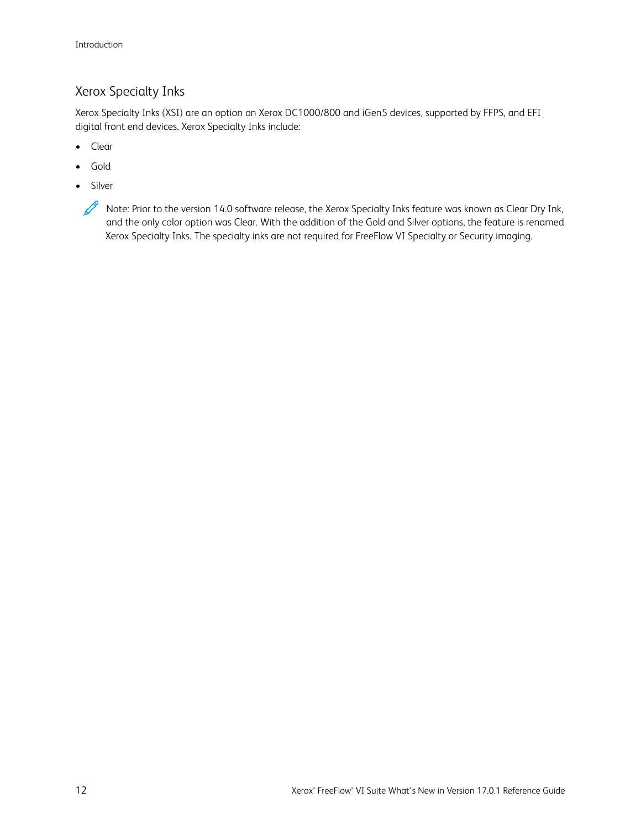## <span id="page-11-0"></span>Xerox Specialty Inks

Xerox Specialty Inks (XSI) are an option on Xerox DC1000/800 and iGen5 devices, supported by FFPS, and EFI digital front end devices. Xerox Specialty Inks include:

- Clear
- Gold
- Silver

 $\mathscr{O}$ Note: Prior to the version 14.0 software release, the Xerox Specialty Inks feature was known as Clear Dry Ink, and the only color option was Clear. With the addition of the Gold and Silver options, the feature is renamed Xerox Specialty Inks. The specialty inks are not required for FreeFlow VI Specialty or Security imaging.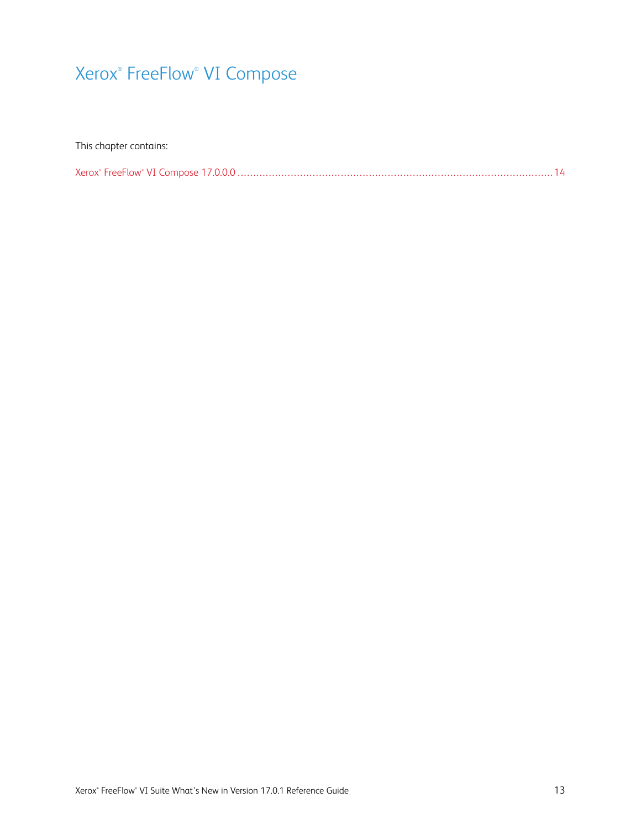## <span id="page-12-0"></span>Xerox® FreeFlow® VI Compose

| This chapter contains: |  |  |  |
|------------------------|--|--|--|
|                        |  |  |  |

|--|--|--|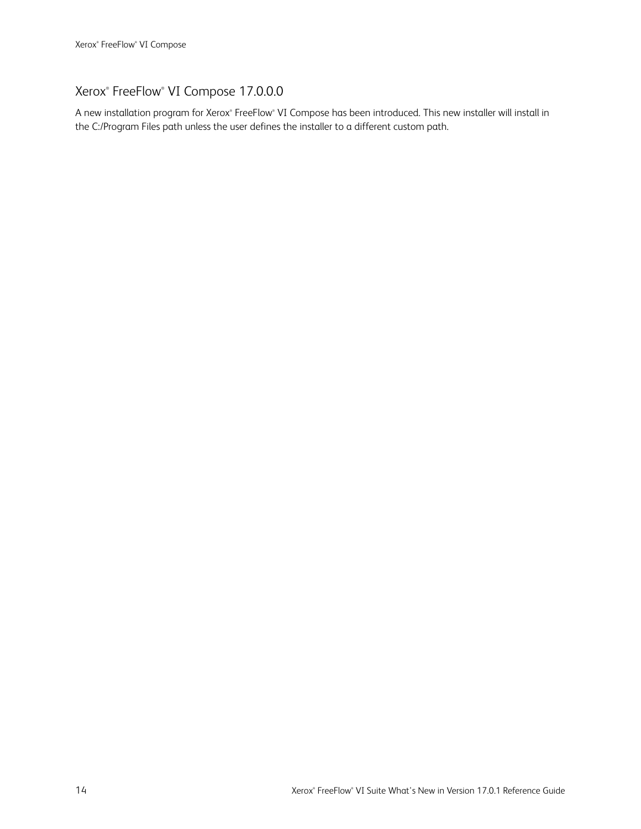## <span id="page-13-0"></span>Xerox® FreeFlow® VI Compose 17.0.0.0

A new installation program for Xerox® FreeFlow® VI Compose has been introduced. This new installer will install in the C:/Program Files path unless the user defines the installer to a different custom path.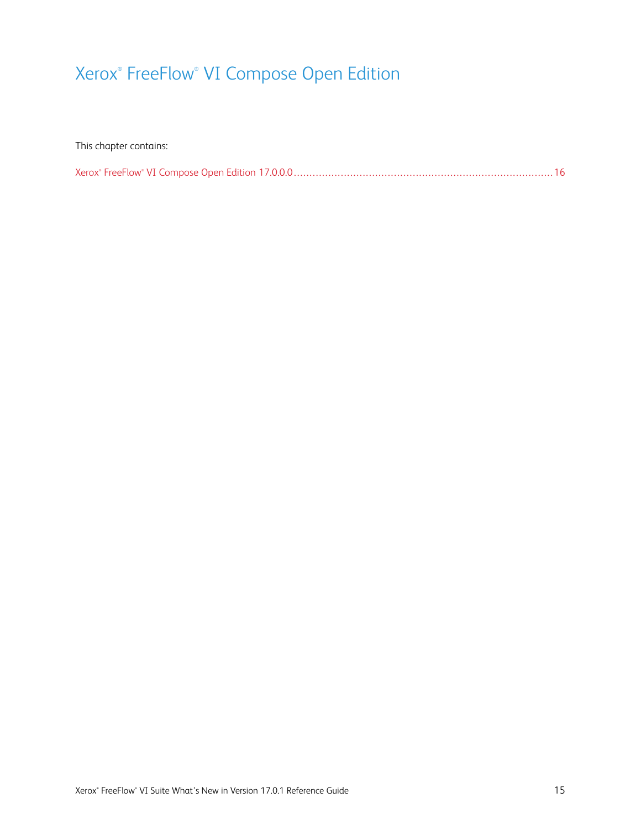## <span id="page-14-0"></span>Xerox® FreeFlow® VI Compose Open Edition

This chapter contains:

|--|--|--|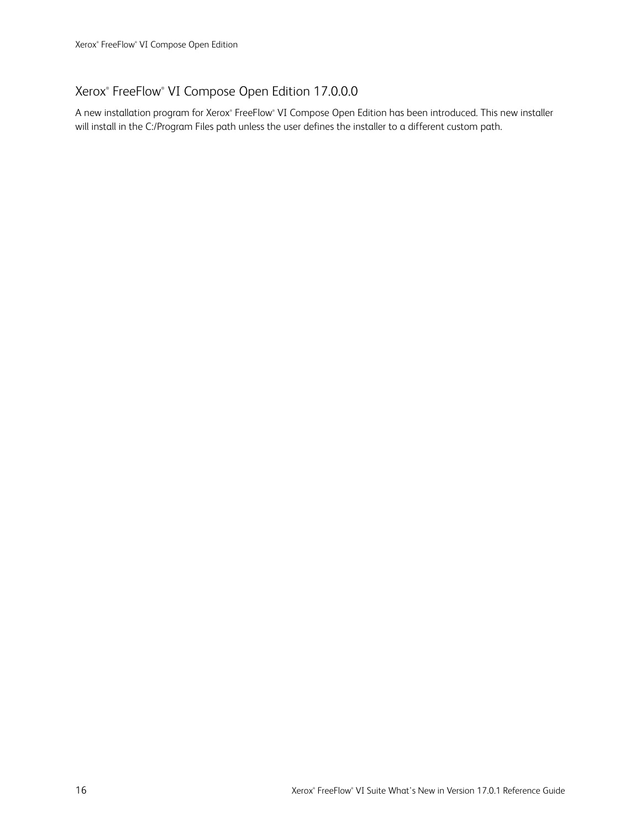## <span id="page-15-0"></span>Xerox® FreeFlow® VI Compose Open Edition 17.0.0.0

A new installation program for Xerox® FreeFlow® VI Compose Open Edition has been introduced. This new installer will install in the C:/Program Files path unless the user defines the installer to a different custom path.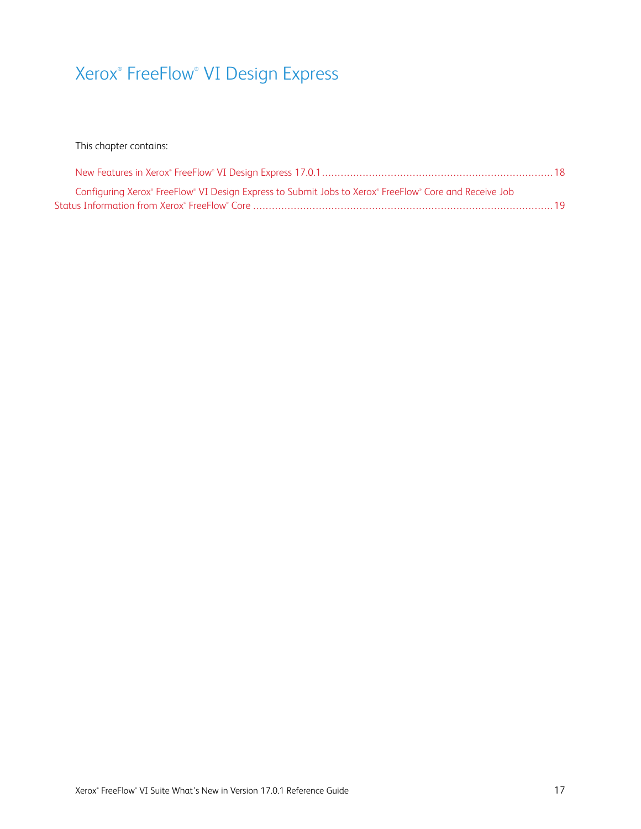## <span id="page-16-0"></span>Xerox® FreeFlow® VI Design Express

### This chapter contains:

| Configuring Xerox® FreeFlow® VI Design Express to Submit Jobs to Xerox® FreeFlow® Core and Receive Job |  |
|--------------------------------------------------------------------------------------------------------|--|
|                                                                                                        |  |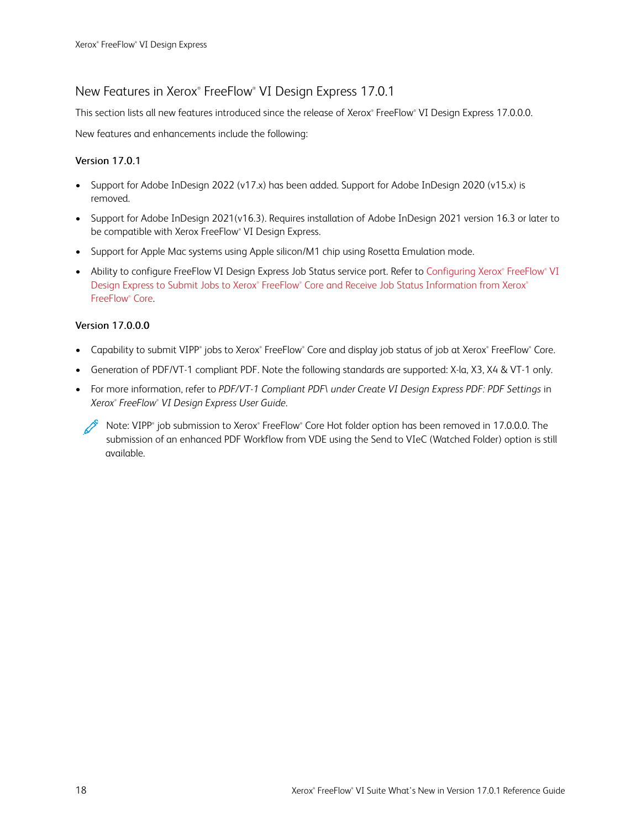## <span id="page-17-0"></span>New Features in Xerox® FreeFlow® VI Design Express 17.0.1

This section lists all new features introduced since the release of Xerox® FreeFlow® VI Design Express 17.0.0.0.

New features and enhancements include the following:

#### Version 17.0.1

- Support for Adobe InDesign 2022 (v17.x) has been added. Support for Adobe InDesign 2020 (v15.x) is removed.
- Support for Adobe InDesign 2021(v16.3). Requires installation of Adobe InDesign 2021 version 16.3 or later to be compatible with Xerox FreeFlow® VI Design Express.
- Support for Apple Mac systems using Apple silicon/M1 chip using Rosetta Emulation mode.
- Ability to configure FreeFlow VI Design Express Job Status service port. Refer to [Configuring](#page-18-0) Xerox® FreeFlow® VI Design Express to Submit Jobs to Xerox® FreeFlow® Core and Receive Job Status [Information](#page-18-0) from Xerox® [FreeFlow®](#page-18-0) Core.

#### Version 17.0.0.0

- Capability to submit VIPP® jobs to Xerox® FreeFlow® Core and display job status of job at Xerox® FreeFlow® Core.
- Generation of PDF/VT-1 compliant PDF. Note the following standards are supported: X-la, X3, X4 & VT-1 only.
- For more information, refer to *PDF/VT-1 Compliant PDF\ under Create VI Design Express PDF: PDF Settings* in *Xerox ® FreeFlow® VI Design Express User Guide*.

Note: VIPP® job submission to Xerox® FreeFlow® Core Hot folder option has been removed in 17.0.0.0. The submission of an enhanced PDF Workflow from VDE using the Send to VIeC (Watched Folder) option is still available.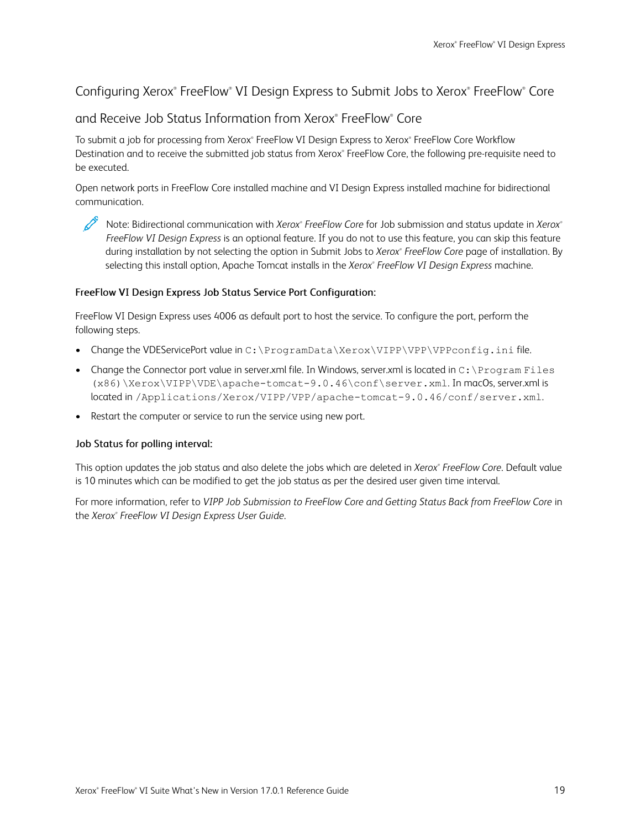## <span id="page-18-0"></span>Configuring Xerox® FreeFlow® VI Design Express to Submit Jobs to Xerox® FreeFlow® Core

## and Receive Job Status Information from Xerox® FreeFlow® Core

To submit a job for processing from Xerox® FreeFlow VI Design Express to Xerox® FreeFlow Core Workflow Destination and to receive the submitted job status from Xerox® FreeFlow Core, the following pre-requisite need to be executed.

Open network ports in FreeFlow Core installed machine and VI Design Express installed machine for bidirectional communication.

Note: Bidirectional communication with *Xerox ® FreeFlow Core* for Job submission and status update in *Xerox® FreeFlow VI Design Express* is an optional feature. If you do not to use this feature, you can skip this feature during installation by not selecting the option in Submit Jobs to *Xerox® FreeFlow Core* page of installation. By selecting this install option, Apache Tomcat installs in the *Xerox ® FreeFlow VI Design Express* machine.

#### FreeFlow VI Design Express Job Status Service Port Configuration:

FreeFlow VI Design Express uses 4006 as default port to host the service. To configure the port, perform the following steps.

- Change the VDEServicePort value in C:\ProgramData\Xerox\VIPP\VPP\VPPconfig.ini file.
- Change the Connector port value in server.xml file. In Windows, server.xml is located in  $C:$  Program Files (x86)\Xerox\VIPP\VDE\apache-tomcat-9.0.46\conf\server.xml. In macOs, server.xml is located in /Applications/Xerox/VIPP/VPP/apache-tomcat-9.0.46/conf/server.xml.
- Restart the computer or service to run the service using new port.

#### Job Status for polling interval:

This option updates the job status and also delete the jobs which are deleted in *Xerox® FreeFlow Core*. Default value is 10 minutes which can be modified to get the job status as per the desired user given time interval.

For more information, refer to *VIPP Job Submission to FreeFlow Core and Getting Status Back from FreeFlow Core* in the *Xerox ® FreeFlow VI Design Express User Guide*.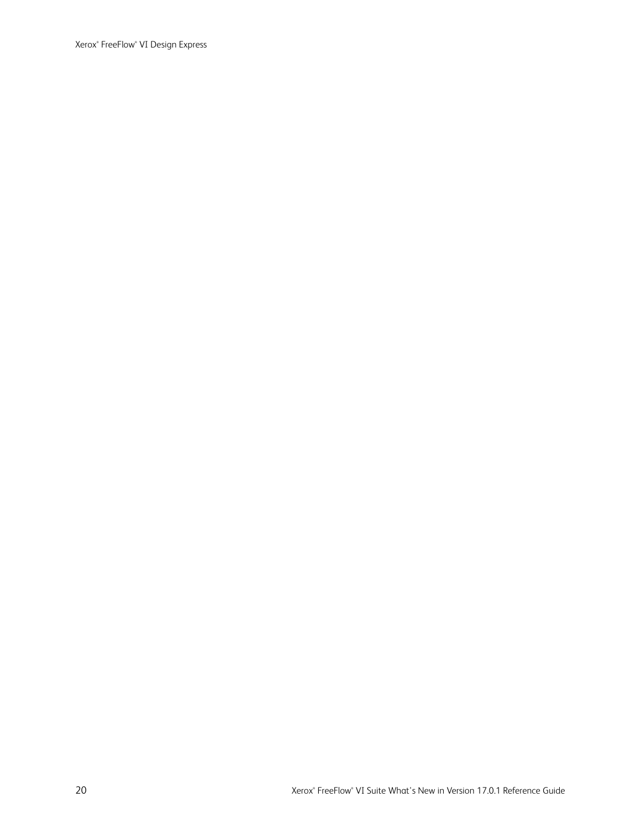Xerox® [FreeFlow®](#page-16-0) VI Design Express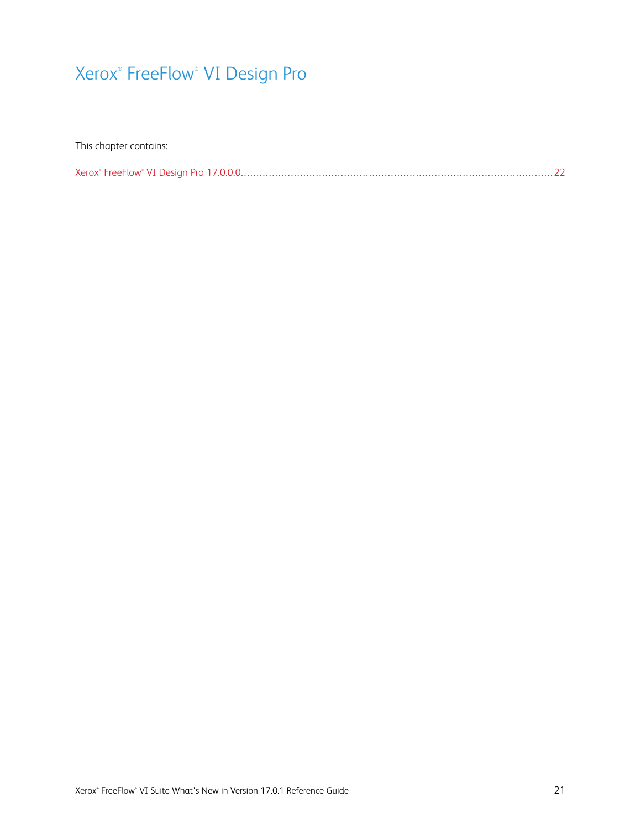## <span id="page-20-0"></span>Xerox® FreeFlow® VI Design Pro

| This chapter contains: |  |
|------------------------|--|
|                        |  |
|                        |  |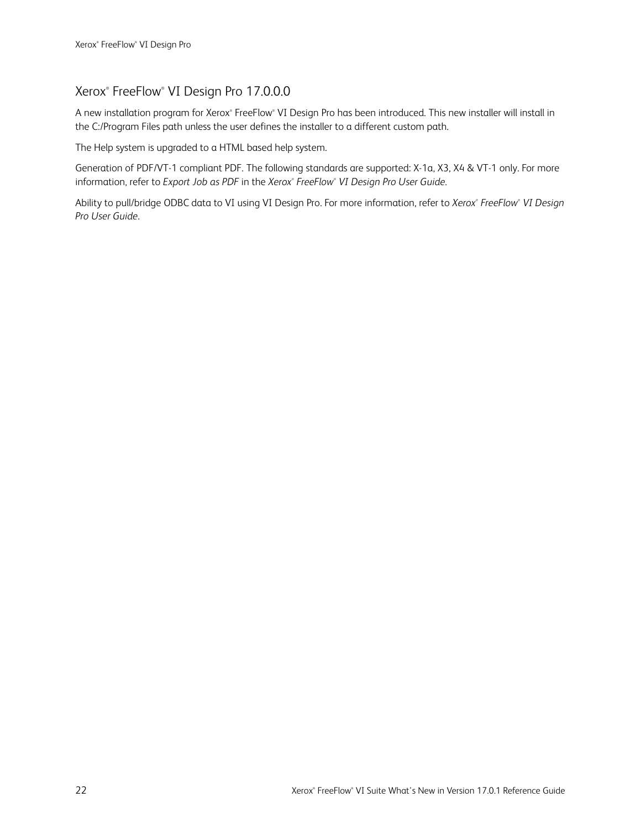## <span id="page-21-0"></span>Xerox® FreeFlow® VI Design Pro 17.0.0.0

A new installation program for Xerox® FreeFlow® VI Design Pro has been introduced. This new installer will install in the C:/Program Files path unless the user defines the installer to a different custom path.

The Help system is upgraded to a HTML based help system.

Generation of PDF/VT-1 compliant PDF. The following standards are supported: X-1a, X3, X4 & VT-1 only. For more information, refer to *Export Job as PDF* in the *Xerox ® FreeFlow® VI Design Pro User Guide*.

Ability to pull/bridge ODBC data to VI using VI Design Pro. For more information, refer to *Xerox ® FreeFlow® VI Design Pro User Guide*.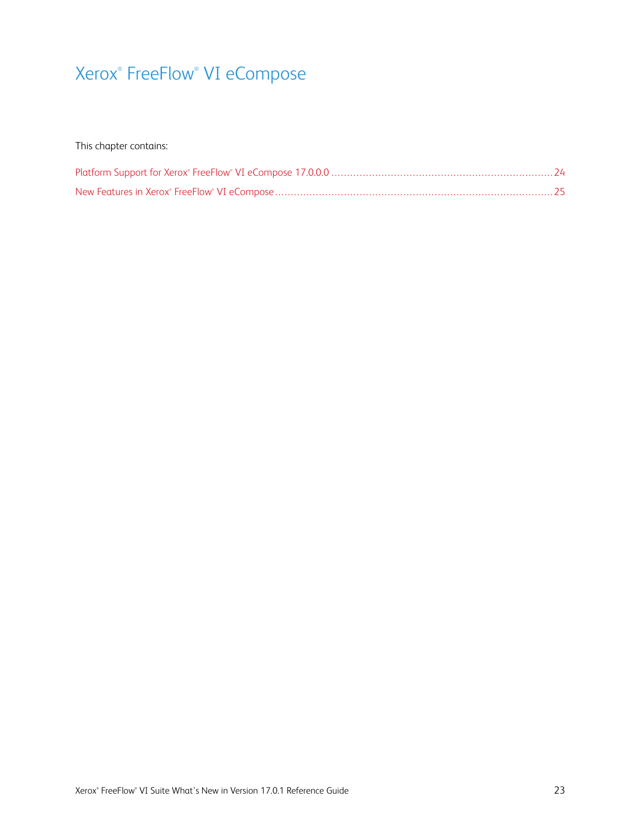## <span id="page-22-0"></span>Xerox® FreeFlow® VI eCompose

### This chapter contains: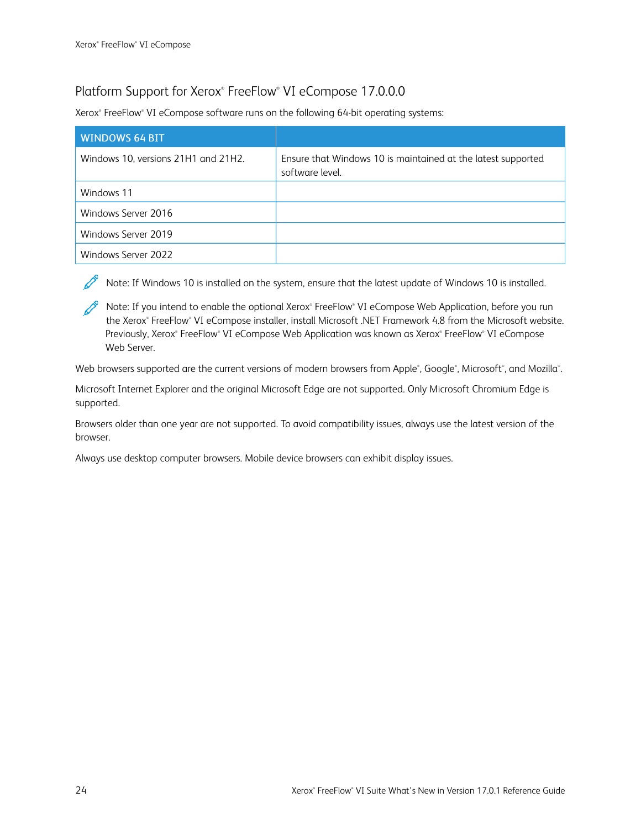## <span id="page-23-0"></span>Platform Support for Xerox® FreeFlow® VI eCompose 17.0.0.0

Xerox® FreeFlow® VI eCompose software runs on the following 64-bit operating systems:

| <b>WINDOWS 64 BIT</b>               |                                                                                 |
|-------------------------------------|---------------------------------------------------------------------------------|
| Windows 10, versions 21H1 and 21H2. | Ensure that Windows 10 is maintained at the latest supported<br>software level. |
| Windows 11                          |                                                                                 |
| Windows Server 2016                 |                                                                                 |
| Windows Server 2019                 |                                                                                 |
| Windows Server 2022                 |                                                                                 |

Note: If Windows 10 is installed on the system, ensure that the latest update of Windows 10 is installed.

Note: If you intend to enable the optional Xerox® FreeFlow® VI eCompose Web Application, before you run the Xerox® FreeFlow® VI eCompose installer, install Microsoft .NET Framework 4.8 from the Microsoft website. Previously, Xerox® FreeFlow® VI eCompose Web Application was known as Xerox® FreeFlow® VI eCompose Web Server.

Web browsers supported are the current versions of modern browsers from Apple®, Google®, Microsoft®, and Mozilla® .

Microsoft Internet Explorer and the original Microsoft Edge are not supported. Only Microsoft Chromium Edge is supported.

Browsers older than one year are not supported. To avoid compatibility issues, always use the latest version of the browser.

Always use desktop computer browsers. Mobile device browsers can exhibit display issues.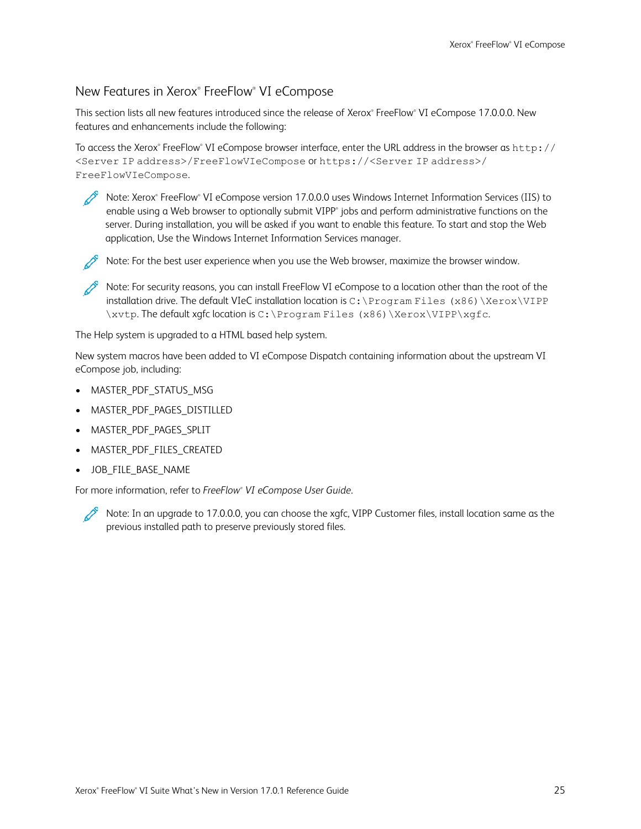## <span id="page-24-0"></span>New Features in Xerox® FreeFlow® VI eCompose

This section lists all new features introduced since the release of Xerox® FreeFlow® VI eCompose 17.0.0.0. New features and enhancements include the following:

To access the Xerox® FreeFlow® VI eCompose browser interface, enter the URL address in the browser as <code>http://</code> <Server IP address>/FreeFlowVIeCompose or https://<Server IP address>/ FreeFlowVIeCompose.



Note: Xerox® FreeFlow® VI eCompose version 17.0.0.0 uses Windows Internet Information Services (IIS) to enable using a Web browser to optionally submit VIPP® jobs and perform administrative functions on the server. During installation, you will be asked if you want to enable this feature. To start and stop the Web application, Use the Windows Internet Information Services manager.



Note: For security reasons, you can install FreeFlow VI eCompose to a location other than the root of the installation drive. The default VIeC installation location is C:\Program Files (x86)\Xerox\VIPP \xvtp. The default xgfc location is C:\Program Files (x86)\Xerox\VIPP\xgfc.

The Help system is upgraded to a HTML based help system.

New system macros have been added to VI eCompose Dispatch containing information about the upstream VI eCompose job, including:

- MASTER\_PDF\_STATUS\_MSG
- MASTER\_PDF\_PAGES\_DISTILLED
- MASTER PDF PAGES SPLIT
- MASTER\_PDF\_FILES\_CREATED
- JOB\_FILE\_BASE\_NAME

For more information, refer to *FreeFlow® VI eCompose User Guide*.

Note: In an upgrade to 17.0.0.0, you can choose the xgfc, VIPP Customer files, install location same as the previous installed path to preserve previously stored files.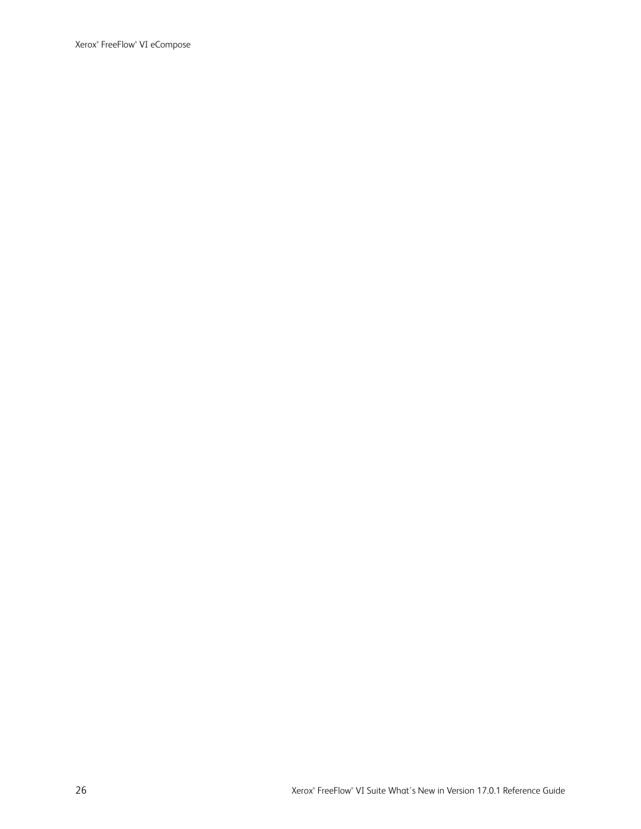Xerox® FreeFlow® VI [eCompose](#page-22-0)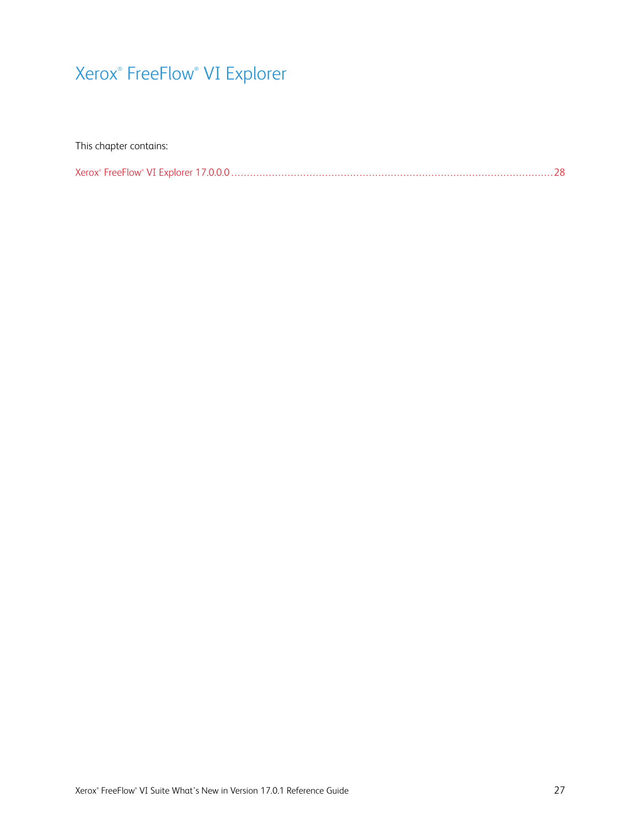## <span id="page-26-0"></span>Xerox® FreeFlow® VI Explorer

| This chapter contains: |  |  |
|------------------------|--|--|
|                        |  |  |

|--|--|--|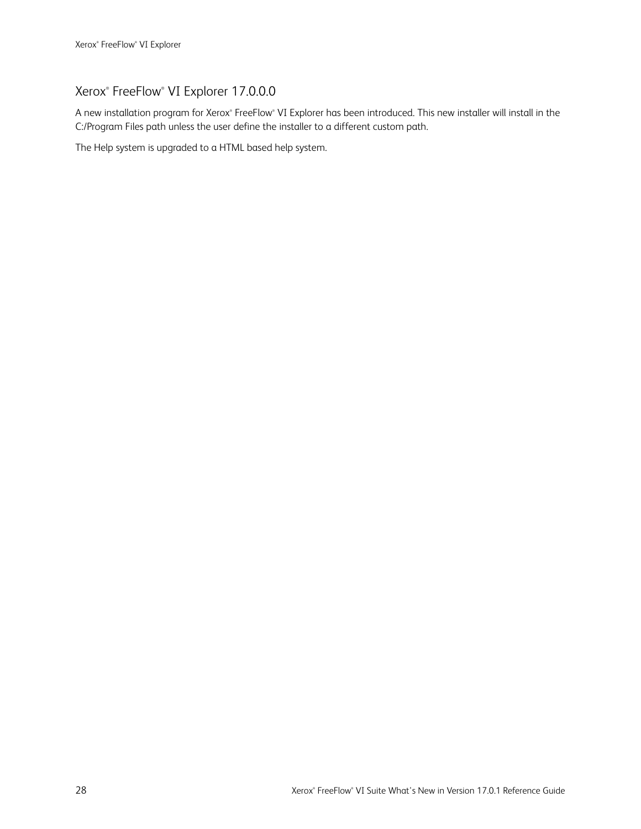## <span id="page-27-0"></span>Xerox® FreeFlow® VI Explorer 17.0.0.0

A new installation program for Xerox® FreeFlow® VI Explorer has been introduced. This new installer will install in the C:/Program Files path unless the user define the installer to a different custom path.

The Help system is upgraded to a HTML based help system.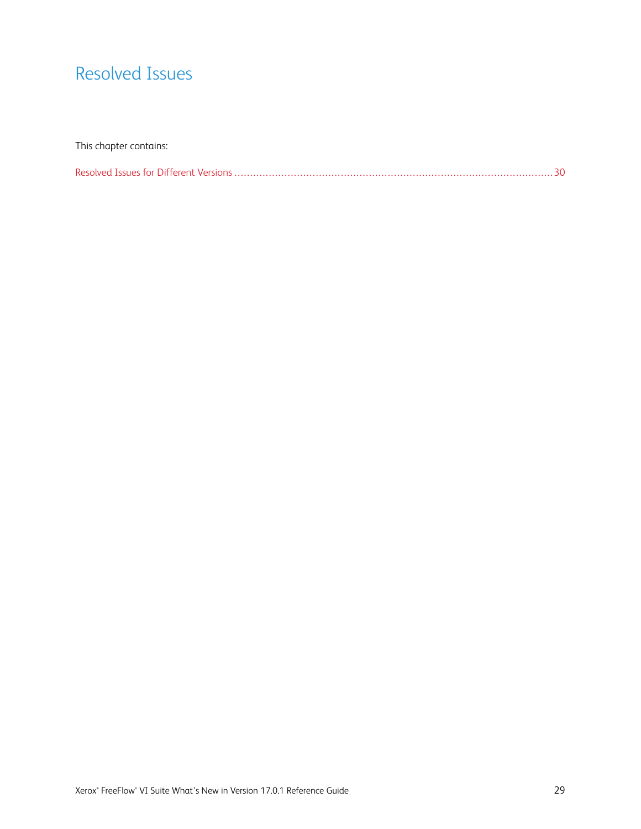## <span id="page-28-0"></span>Resolved Issues

| This chapter contains: |
|------------------------|
|------------------------|

|--|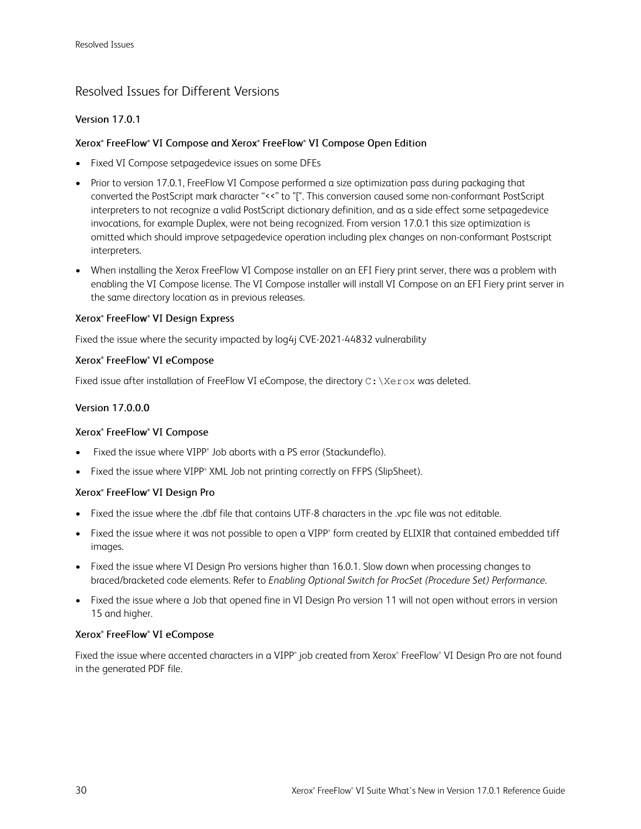## <span id="page-29-0"></span>Resolved Issues for Different Versions

#### Version 17.0.1

#### Xerox® FreeFlow® VI Compose and Xerox® FreeFlow® VI Compose Open Edition

- Fixed VI Compose setpagedevice issues on some DFEs
- Prior to version 17.0.1, FreeFlow VI Compose performed a size optimization pass during packaging that converted the PostScript mark character "<<" to "[". This conversion caused some non-conformant PostScript interpreters to not recognize a valid PostScript dictionary definition, and as a side effect some setpagedevice invocations, for example Duplex, were not being recognized. From version 17.0.1 this size optimization is omitted which should improve setpagedevice operation including plex changes on non-conformant Postscript interpreters.
- When installing the Xerox FreeFlow VI Compose installer on an EFI Fiery print server, there was a problem with enabling the VI Compose license. The VI Compose installer will install VI Compose on an EFI Fiery print server in the same directory location as in previous releases.

#### Xerox® FreeFlow® VI Design Express

Fixed the issue where the security impacted by log4j CVE-2021-44832 vulnerability

#### Xerox® FreeFlow® VI eCompose

Fixed issue after installation of FreeFlow VI eCompose, the directory  $C:\Xe\rightarrow x$  was deleted.

#### Version 17.0.0.0.

#### Xerox® FreeFlow ® VI Compose

- Fixed the issue where VIPP® Job aborts with a PS error (Stackundeflo).
- Fixed the issue where VIPP<sup>®</sup> XML Job not printing correctly on FFPS (SlipSheet).

#### Xerox® FreeFlow® VI Design Pro

- Fixed the issue where the .dbf file that contains UTF-8 characters in the .vpc file was not editable.
- Fixed the issue where it was not possible to open a VIPP<sup>®</sup> form created by ELIXIR that contained embedded tiff images.
- Fixed the issue where VI Design Pro versions higher than 16.0.1. Slow down when processing changes to braced/bracketed code elements. Refer to *Enabling Optional Switch for ProcSet (Procedure Set) Performance*.
- Fixed the issue where a Job that opened fine in VI Design Pro version 11 will not open without errors in version 15 and higher.

#### Xerox® FreeFlow® VI eCompose

Fixed the issue where accented characters in a VIPP® job created from Xerox® FreeFlow® VI Design Pro are not found in the generated PDF file.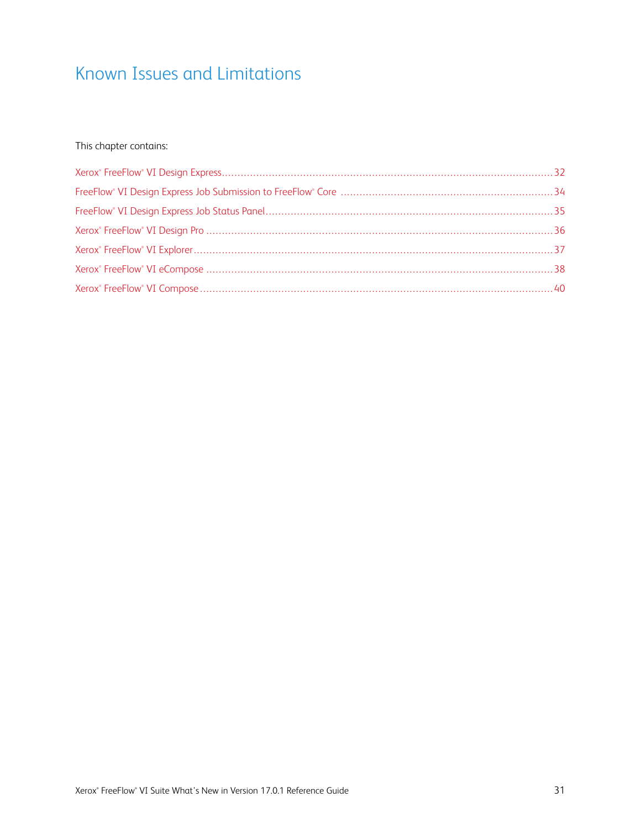## <span id="page-30-0"></span>Known Issues and Limitations

### This chapter contains: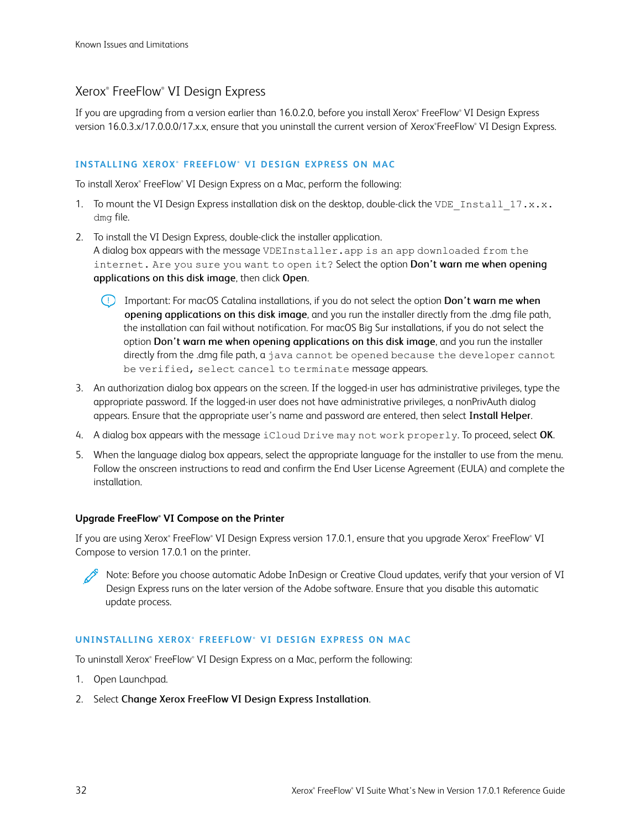## <span id="page-31-0"></span>Xerox® FreeFlow® VI Design Express

If you are upgrading from a version earlier than 16.0.2.0, before you install Xerox® FreeFlow® VI Design Express version 16.0.3.x/17.0.0.0/17.x.x, ensure that you uninstall the current version of Xerox®FreeFlow® VI Design Express.

#### <span id="page-31-1"></span>**INSTALLING XEROX ® FREEFLOW® VI DESIGN EXPRESS ON MAC**

To install Xerox® FreeFlow® VI Design Express on a Mac, perform the following:

- 1. To mount the VI Design Express installation disk on the desktop, double-click the VDE Install  $17.x.x.$ dmg file.
- 2. To install the VI Design Express, double-click the installer application. A dialog box appears with the message VDEInstaller.app is an app downloaded from the internet. Are you sure you want to open it? Select the option Don't warn me when opening applications on this disk image, then click Open.
	- Important: For macOS Catalina installations, if you do not select the option Don't warn me when opening applications on this disk image, and you run the installer directly from the .dmg file path, the installation can fail without notification. For macOS Big Sur installations, if you do not select the option Don't warn me when opening applications on this disk image, and you run the installer directly from the .dmg file path, a java cannot be opened because the developer cannot be verified, select cancel to terminate message appears.
- 3. An authorization dialog box appears on the screen. If the logged-in user has administrative privileges, type the appropriate password. If the logged-in user does not have administrative privileges, a nonPrivAuth dialog appears. Ensure that the appropriate user's name and password are entered, then select Install Helper.
- 4. A dialog box appears with the message iCloud Drive may not work properly. To proceed, select OK.
- 5. When the language dialog box appears, select the appropriate language for the installer to use from the menu. Follow the onscreen instructions to read and confirm the End User License Agreement (EULA) and complete the installation.

#### **Upgrade FreeFlow® VI Compose on the Printer**

If you are using Xerox® FreeFlow® VI Design Express version 17.0.1, ensure that you upgrade Xerox® FreeFlow® VI Compose to version 17.0.1 on the printer.

Note: Before you choose automatic Adobe InDesign or Creative Cloud updates, verify that your version of VI Design Express runs on the later version of the Adobe software. Ensure that you disable this automatic update process.

#### <span id="page-31-2"></span>**UNINSTALLING XEROX ® FREEFLOW® VI DESIGN EXPRESS ON MAC**

To uninstall Xerox® FreeFlow® VI Design Express on a Mac, perform the following:

- 1. Open Launchpad.
- 2. Select Change Xerox FreeFlow VI Design Express Installation.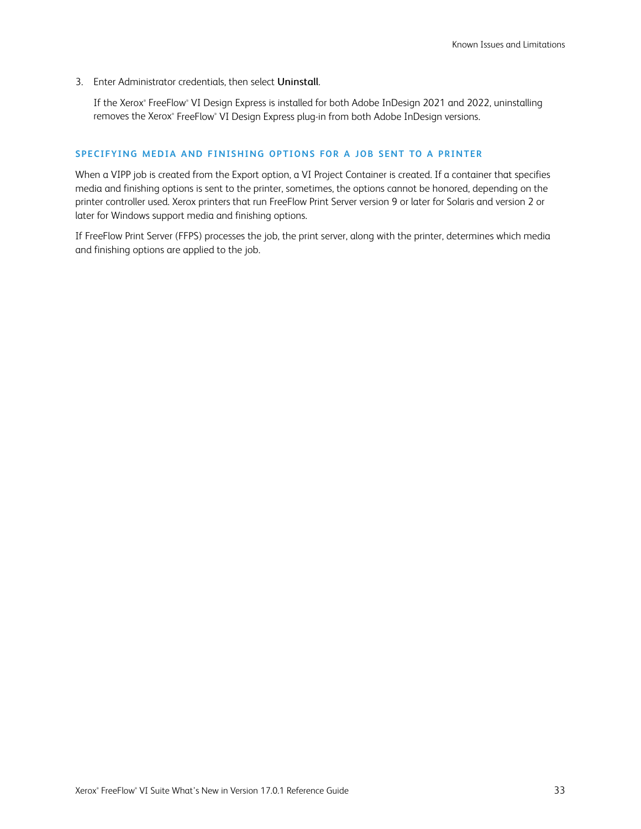#### 3. Enter Administrator credentials, then select Uninstall.

If the Xerox® FreeFlow® VI Design Express is installed for both Adobe InDesign 2021 and 2022, uninstalling removes the Xerox® FreeFlow® VI Design Express plug-in from both Adobe InDesign versions.

#### <span id="page-32-0"></span>**SPECIFYING MEDIA AND FINISHING OPTIONS FOR A JOB SENT TO A PRINTER**

When a VIPP job is created from the Export option, a VI Project Container is created. If a container that specifies media and finishing options is sent to the printer, sometimes, the options cannot be honored, depending on the printer controller used. Xerox printers that run FreeFlow Print Server version 9 or later for Solaris and version 2 or later for Windows support media and finishing options.

If FreeFlow Print Server (FFPS) processes the job, the print server, along with the printer, determines which media and finishing options are applied to the job.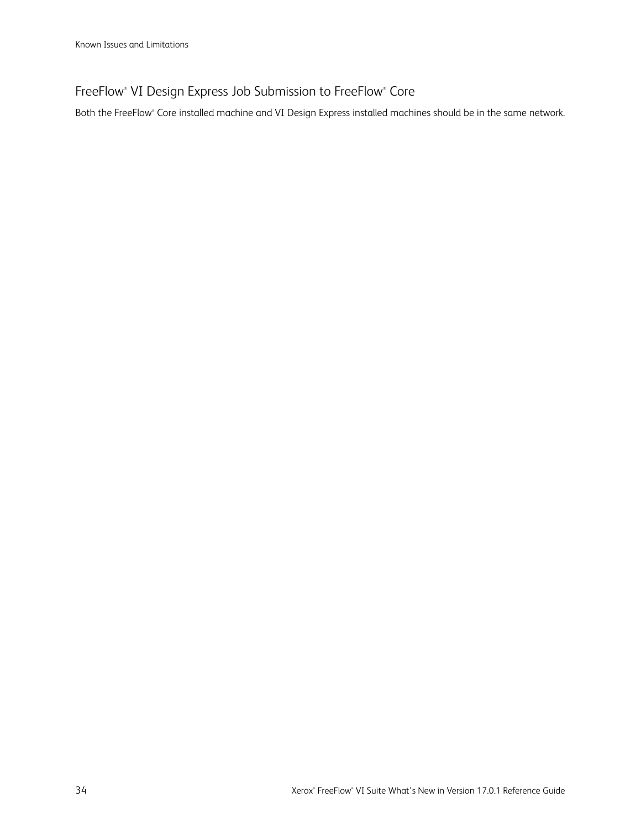## <span id="page-33-0"></span>FreeFlow® VI Design Express Job Submission to FreeFlow® Core

Both the FreeFlow® Core installed machine and VI Design Express installed machines should be in the same network.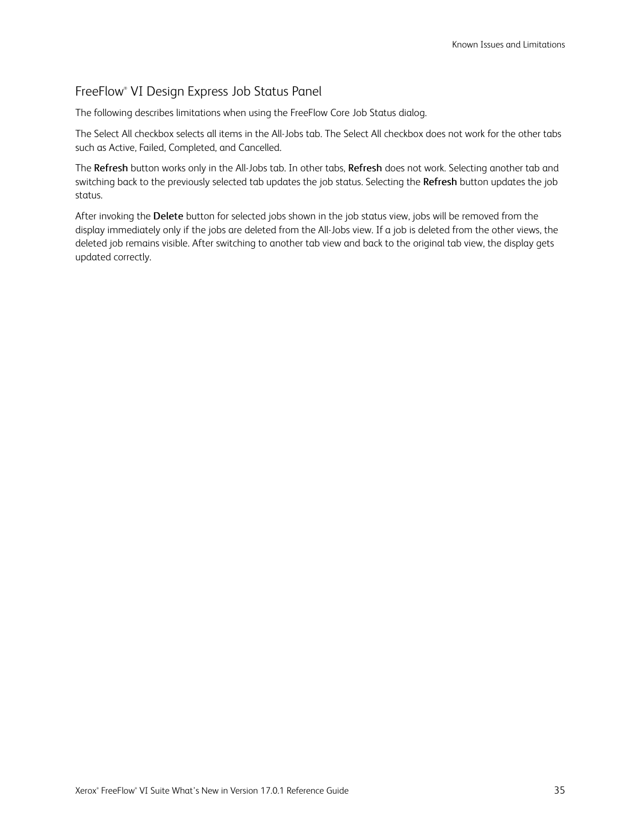## <span id="page-34-0"></span>FreeFlow® VI Design Express Job Status Panel

The following describes limitations when using the FreeFlow Core Job Status dialog.

The Select All checkbox selects all items in the All-Jobs tab. The Select All checkbox does not work for the other tabs such as Active, Failed, Completed, and Cancelled.

The Refresh button works only in the All-Jobs tab. In other tabs, Refresh does not work. Selecting another tab and switching back to the previously selected tab updates the job status. Selecting the Refresh button updates the job status.

After invoking the Delete button for selected jobs shown in the job status view, jobs will be removed from the display immediately only if the jobs are deleted from the All-Jobs view. If a job is deleted from the other views, the deleted job remains visible. After switching to another tab view and back to the original tab view, the display gets updated correctly.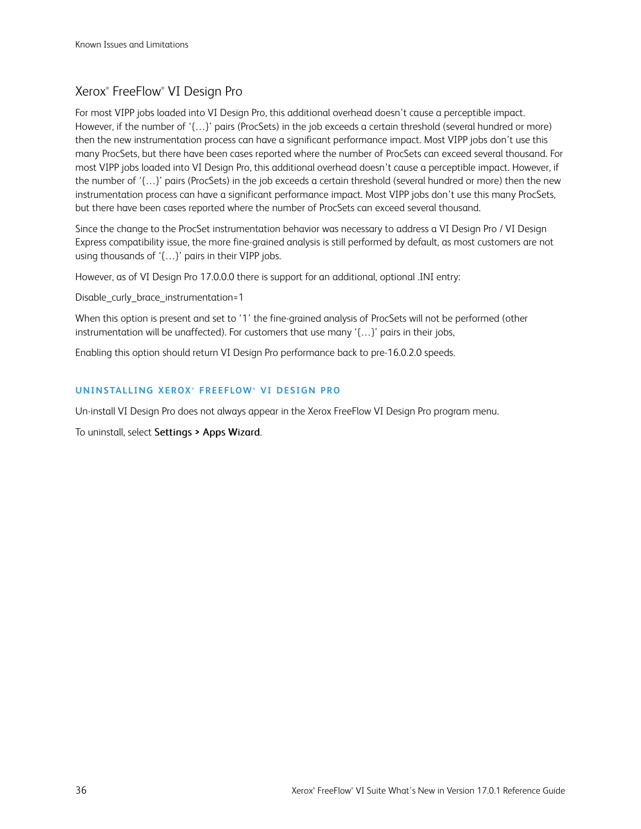## <span id="page-35-0"></span>Xerox® FreeFlow® VI Design Pro

For most VIPP jobs loaded into VI Design Pro, this additional overhead doesn't cause a perceptible impact. However, if the number of '{…}' pairs (ProcSets) in the job exceeds a certain threshold (several hundred or more) then the new instrumentation process can have a significant performance impact. Most VIPP jobs don't use this many ProcSets, but there have been cases reported where the number of ProcSets can exceed several thousand. For most VIPP jobs loaded into VI Design Pro, this additional overhead doesn't cause a perceptible impact. However, if the number of '{…}' pairs (ProcSets) in the job exceeds a certain threshold (several hundred or more) then the new instrumentation process can have a significant performance impact. Most VIPP jobs don't use this many ProcSets, but there have been cases reported where the number of ProcSets can exceed several thousand.

Since the change to the ProcSet instrumentation behavior was necessary to address a VI Design Pro / VI Design Express compatibility issue, the more fine-grained analysis is still performed by default, as most customers are not using thousands of '{…}' pairs in their VIPP jobs.

However, as of VI Design Pro 17.0.0.0 there is support for an additional, optional .INI entry:

Disable\_curly\_brace\_instrumentation=1

When this option is present and set to '1' the fine-grained analysis of ProcSets will not be performed (other instrumentation will be unaffected). For customers that use many '{…}' pairs in their jobs,

Enabling this option should return VI Design Pro performance back to pre-16.0.2.0 speeds.

#### <span id="page-35-1"></span>**UNINSTALLING XEROX ® FREEFLOW® VI DESIGN PRO**

Un-install VI Design Pro does not always appear in the Xerox FreeFlow VI Design Pro program menu.

To uninstall, select Settings > Apps Wizard.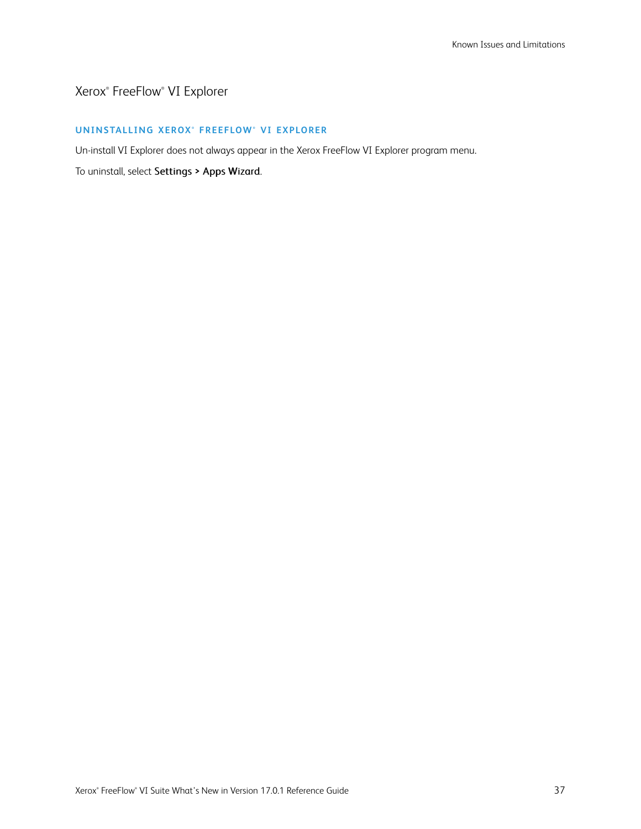### <span id="page-36-0"></span>Xerox® FreeFlow® VI Explorer

#### <span id="page-36-1"></span>**UNINSTALLING XEROX ® FREEFLOW® VI EXPLORER**

Un-install VI Explorer does not always appear in the Xerox FreeFlow VI Explorer program menu.

To uninstall, select Settings > Apps Wizard.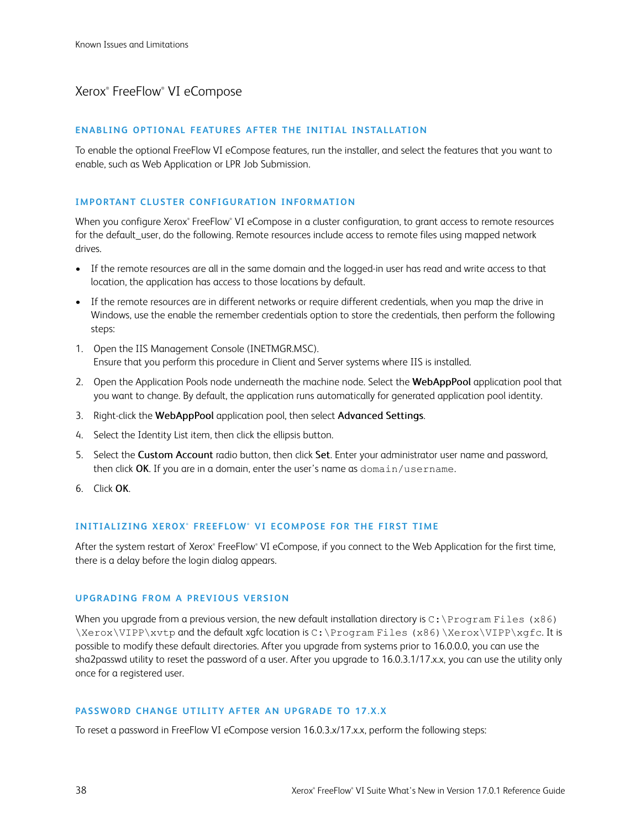### <span id="page-37-0"></span>Xerox® FreeFlow® VI eCompose

#### <span id="page-37-1"></span>**ENABLING OPTIONAL FEATURES AFTER THE INITIAL INSTALLATION**

To enable the optional FreeFlow VI eCompose features, run the installer, and select the features that you want to enable, such as Web Application or LPR Job Submission.

#### <span id="page-37-2"></span>**IMPORTANT CLUSTER CONFIGURATION INFORMATION**

When you configure Xerox® FreeFlow® VI eCompose in a cluster configuration, to grant access to remote resources for the default\_user, do the following. Remote resources include access to remote files using mapped network drives.

- If the remote resources are all in the same domain and the logged-in user has read and write access to that location, the application has access to those locations by default.
- If the remote resources are in different networks or require different credentials, when you map the drive in Windows, use the enable the remember credentials option to store the credentials, then perform the following steps:
- 1. Open the IIS Management Console (INETMGR.MSC). Ensure that you perform this procedure in Client and Server systems where IIS is installed.
- 2. Open the Application Pools node underneath the machine node. Select the WebAppPool application pool that you want to change. By default, the application runs automatically for generated application pool identity.
- 3. Right-click the WebAppPool application pool, then select Advanced Settings.
- 4. Select the Identity List item, then click the ellipsis button.
- 5. Select the Custom Account radio button, then click Set. Enter your administrator user name and password, then click OK. If you are in a domain, enter the user's name as  $domain/useа$ me.
- 6. Click OK.

#### <span id="page-37-3"></span>**INITIALIZING XEROX ® FREEFLOW® VI ECOMPOSE FOR THE FIRST TIME**

After the system restart of Xerox® FreeFlow® VI eCompose, if you connect to the Web Application for the first time, there is a delay before the login dialog appears.

#### <span id="page-37-4"></span>**UPGRADING FROM A PREVIOUS VERSION**

When you upgrade from a previous version, the new default installation directory is  $C:\Perogram$  Files (x86) \Xerox\VIPP\xvtp and the default xgfc location is C:\Program Files (x86)\Xerox\VIPP\xgfc. It is possible to modify these default directories. After you upgrade from systems prior to 16.0.0.0, you can use the sha2passwd utility to reset the password of a user. After you upgrade to 16.0.3.1/17.x.x, you can use the utility only once for a registered user.

#### <span id="page-37-5"></span>**PASSWORD CHANGE UTILITY AFTER AN UPGRADE TO 17.X.X**

To reset a password in FreeFlow VI eCompose version 16.0.3.x/17.x.x, perform the following steps: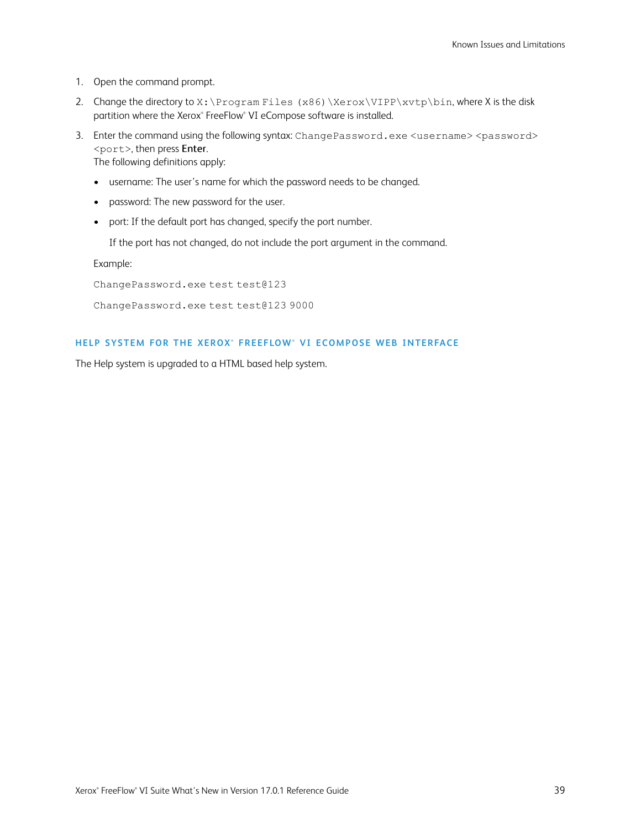- 1. Open the command prompt.
- 2. Change the directory to  $X:\Pero$ ram Files  $(x86)\Xerox\VIPP\xvtp\binom{p}{n}$ , where X is the disk partition where the Xerox® FreeFlow® VI eCompose software is installed.
- 3. Enter the command using the following syntax: ChangePassword.exe <username> <password> <port>, then press Enter. The following definitions apply:
	- username: The user's name for which the password needs to be changed.
	- password: The new password for the user.
	- port: If the default port has changed, specify the port number.

If the port has not changed, do not include the port argument in the command.

Example:

ChangePassword.exe test test@123

ChangePassword.exe test test@123 9000

#### <span id="page-38-0"></span>**HELP SYSTEM FOR THE XEROX ® FREEFLOW® VI ECOMPOSE WEB INTERFACE**

The Help system is upgraded to a HTML based help system.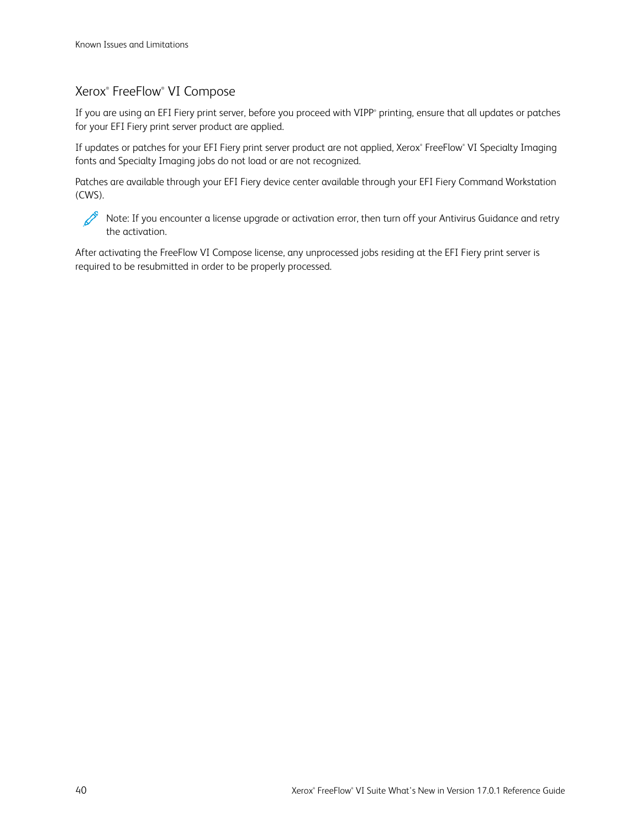## <span id="page-39-0"></span>Xerox® FreeFlow® VI Compose

If you are using an EFI Fiery print server, before you proceed with VIPP® printing, ensure that all updates or patches for your EFI Fiery print server product are applied.

If updates or patches for your EFI Fiery print server product are not applied, Xerox® FreeFlow® VI Specialty Imaging fonts and Specialty Imaging jobs do not load or are not recognized.

Patches are available through your EFI Fiery device center available through your EFI Fiery Command Workstation (CWS).

 $\mathscr{O}$ 

Note: If you encounter a license upgrade or activation error, then turn off your Antivirus Guidance and retry the activation.

After activating the FreeFlow VI Compose license, any unprocessed jobs residing at the EFI Fiery print server is required to be resubmitted in order to be properly processed.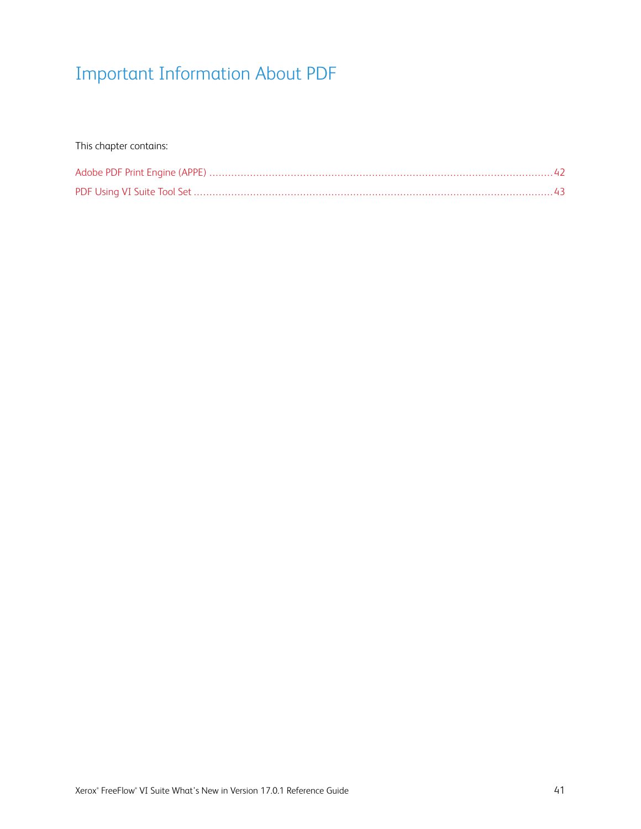## <span id="page-40-0"></span>Important Information About PDF

This chapter contains: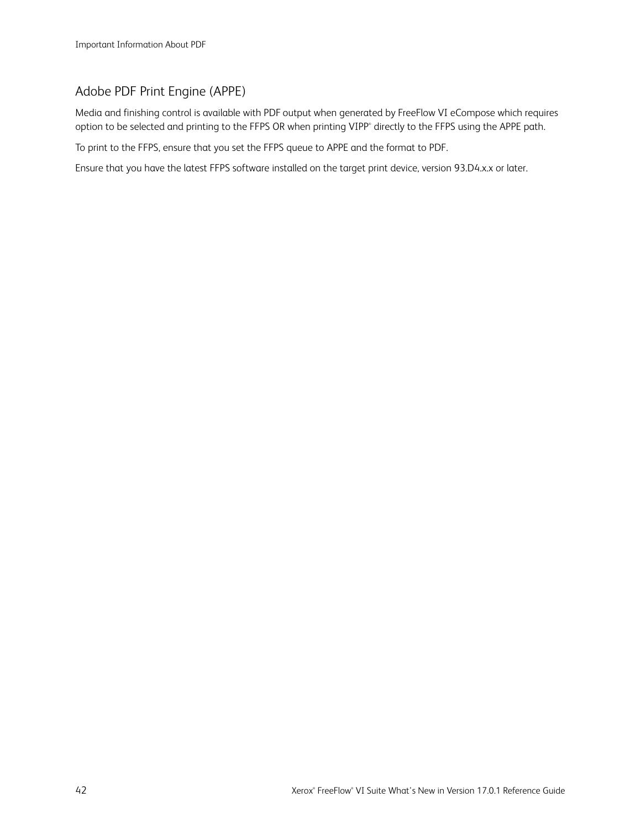## <span id="page-41-0"></span>Adobe PDF Print Engine (APPE)

Media and finishing control is available with PDF output when generated by FreeFlow VI eCompose which requires option to be selected and printing to the FFPS OR when printing VIPP® directly to the FFPS using the APPE path.

To print to the FFPS, ensure that you set the FFPS queue to APPE and the format to PDF.

Ensure that you have the latest FFPS software installed on the target print device, version 93.D4.x.x or later.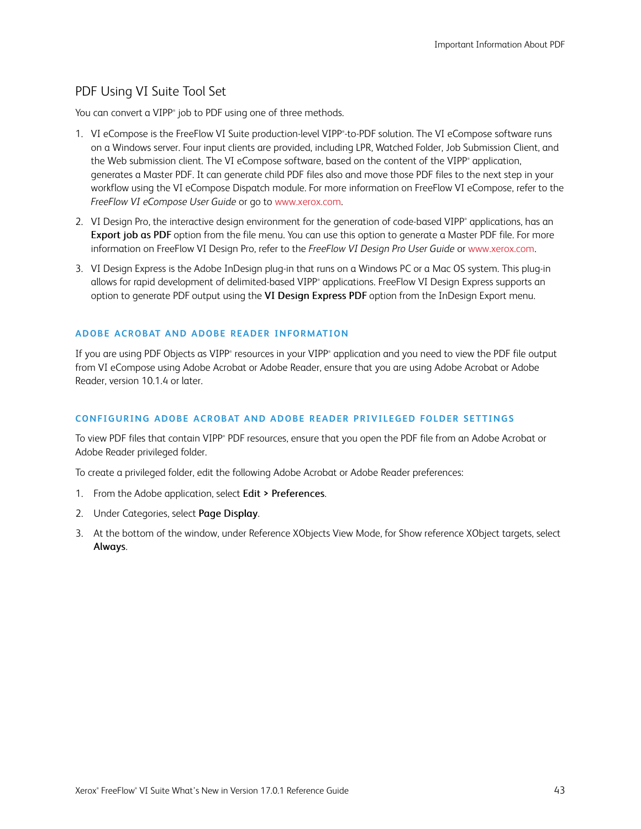### <span id="page-42-0"></span>PDF Using VI Suite Tool Set

You can convert a VIPP® job to PDF using one of three methods.

- 1. VI eCompose is the FreeFlow VI Suite production-level VIPP®-to-PDF solution. The VI eCompose software runs on a Windows server. Four input clients are provided, including LPR, Watched Folder, Job Submission Client, and the Web submission client. The VI eCompose software, based on the content of the VIPP® application, generates a Master PDF. It can generate child PDF files also and move those PDF files to the next step in your workflow using the VI eCompose Dispatch module. For more information on FreeFlow VI eCompose, refer to the *FreeFlow VI eCompose User Guide* or go to [www.xerox.com.](https://www.xerox.com/)
- 2. VI Design Pro, the interactive design environment for the generation of code-based VIPP® applications, has an Export job as PDF option from the file menu. You can use this option to generate a Master PDF file. For more information on FreeFlow VI Design Pro, refer to the *FreeFlow VI Design Pro User Guide* or [www.xerox.com.](https://www.xerox.com/)
- 3. VI Design Express is the Adobe InDesign plug-in that runs on a Windows PC or a Mac OS system. This plug-in allows for rapid development of delimited-based VIPP® applications. FreeFlow VI Design Express supports an option to generate PDF output using the VI Design Express PDF option from the InDesign Export menu.

#### <span id="page-42-1"></span>**ADOBE ACROBAT AND ADOBE READER INFORMATION**

If you are using PDF Objects as VIPP® resources in your VIPP® application and you need to view the PDF file output from VI eCompose using Adobe Acrobat or Adobe Reader, ensure that you are using Adobe Acrobat or Adobe Reader, version 10.1.4 or later.

#### <span id="page-42-2"></span>**CONFIGURING ADOBE ACROBAT AND ADOBE READER PRIVILEGED FOLDER SETTINGS**

To view PDF files that contain VIPP® PDF resources, ensure that you open the PDF file from an Adobe Acrobat or Adobe Reader privileged folder.

To create a privileged folder, edit the following Adobe Acrobat or Adobe Reader preferences:

- 1. From the Adobe application, select Edit > Preferences.
- 2. Under Categories, select Page Display.
- 3. At the bottom of the window, under Reference XObjects View Mode, for Show reference XObject targets, select Always.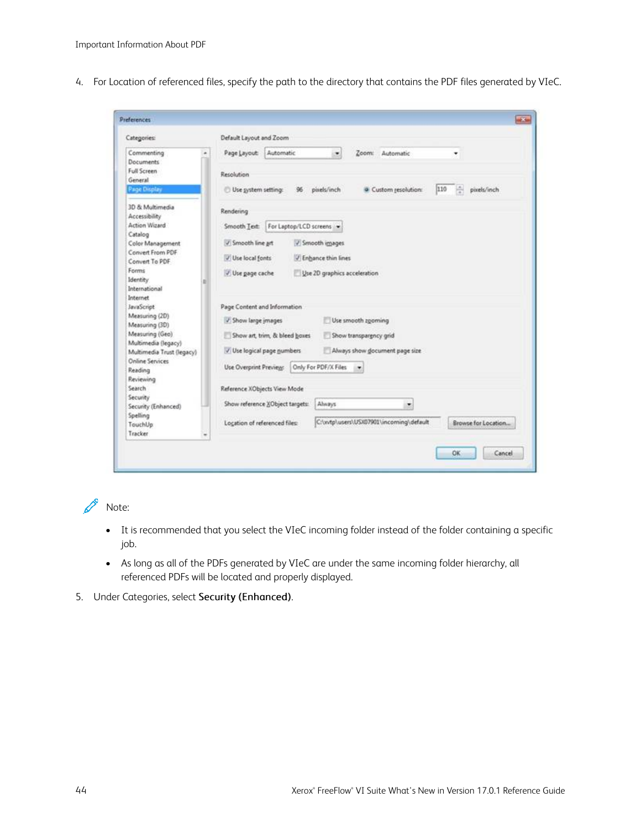4. For Location of referenced files, specify the path to the directory that contains the PDF files generated by VIeC.

| Categories:                               | Default Layout and Zoom                                                                         |
|-------------------------------------------|-------------------------------------------------------------------------------------------------|
| Commenting<br><b>Documents</b>            | Automatic<br>Page Layout:<br>Zoom: Automatic<br>۰<br>٠                                          |
| Full Screen<br>General                    | Resolution                                                                                      |
| Page Display                              | 110<br>품<br>Custom resolution:<br>pixels/inch<br>Use system setting:<br>96<br>pixels/inch       |
| 3D & Multimedia                           | <b>Rendering</b>                                                                                |
| Accessibility<br>Action Wizard<br>Catalog | For Laptop/LCD screens<br>Smooth Text:                                                          |
| Color Management                          | V Smooth images<br>V Smooth line art                                                            |
| Convert From PDF<br>Convert To PDF        | Use local fonts<br><b><i>V</i></b> Enhance thin lines                                           |
| Forms<br>Identity<br>E<br>International   | Use gage cache<br>Use 2D graphics acceleration                                                  |
| Internet                                  |                                                                                                 |
| <b>JavaScript</b><br>Measuring (2D)       | Page Content and Information                                                                    |
| Measuring (3D)                            | Use smooth zooming<br>V Show large images                                                       |
| Measuring (Geo)                           | Show art, trim, & bleed boxes<br>Show transparency grid                                         |
| Multimedia (legacy)                       |                                                                                                 |
| Multimedia Trust (legacy)                 | V Use logical page numbers<br>Always show gocument page size                                    |
| <b>Online Services</b><br>Reading         | Only For PDF/X Files<br>Use Overprint Preview:                                                  |
| Reviewing                                 |                                                                                                 |
| Search                                    | Reference XObjects View Mode                                                                    |
| Security                                  |                                                                                                 |
| Security (Enhanced)                       | Show reference @Object targets:<br>Ahvays<br>٠                                                  |
| Spelling                                  |                                                                                                 |
| TouchUp                                   | C:\witp\users\USX07901\incoming\default<br>Browse for Location<br>Location of referenced files: |
| Tracker                                   |                                                                                                 |



- It is recommended that you select the VIeC incoming folder instead of the folder containing a specific job.
- As long as all of the PDFs generated by VIeC are under the same incoming folder hierarchy, all referenced PDFs will be located and properly displayed.
- 5. Under Categories, select Security (Enhanced).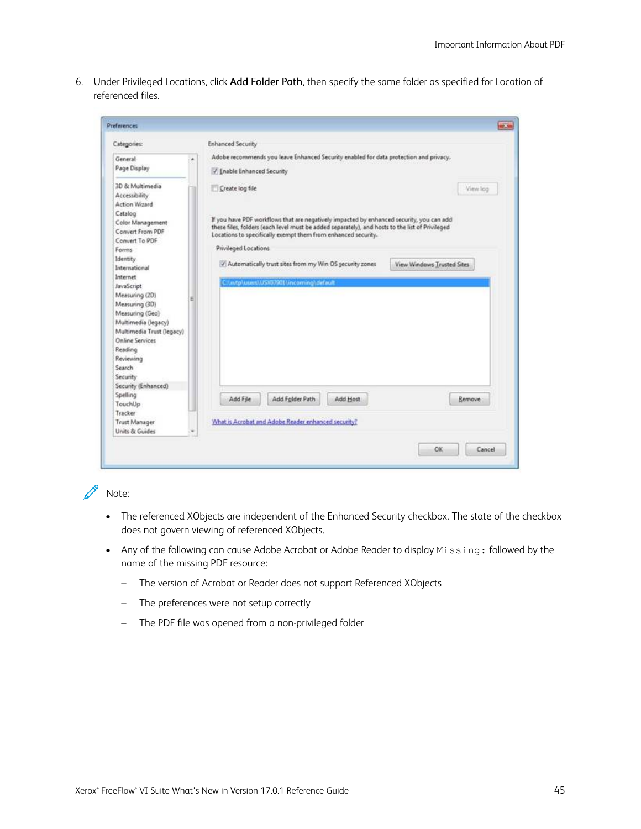6. Under Privileged Locations, click Add Folder Path, then specify the same folder as specified for Location of referenced files.

|                                                                                                                                                                                                                                                                               | <b>Enhanced Security</b>                                                                                                                                                                                                                                                                                                                                                                                                      |                                      |
|-------------------------------------------------------------------------------------------------------------------------------------------------------------------------------------------------------------------------------------------------------------------------------|-------------------------------------------------------------------------------------------------------------------------------------------------------------------------------------------------------------------------------------------------------------------------------------------------------------------------------------------------------------------------------------------------------------------------------|--------------------------------------|
| Categories:<br>General<br>۰<br>Page Display<br>3D & Multimedia<br>Accessibility<br>Action Wizard<br>Catalog<br>Color Management<br>Convert From PDF<br>Convert To PDF<br>Forms<br>Identity                                                                                    | Adobe recommends you leave Enhanced Security enabled for data protection and privacy.<br>Finable Enhanced Security<br>Create log file<br>If you have PDF workflows that are negatively impacted by enhanced security, you can add<br>these files, folders (each level must be added separately), and hosts to the list of Privileged<br>Locations to specifically exempt them from enhanced security.<br>Privileged Locations | View log                             |
| International<br>Internet<br>JavaScript<br>Measuring (2D)<br>Е<br>Measuring (3D)<br>Measuring (Geo)<br>Multimedia (legacy)<br>Multimedia Trust (legacy)<br><b>Online Services</b><br>Reading<br>Reviewing<br>Search<br>Security<br>Security (Enhanced)<br>Spelling<br>TouchUp | V Automatically trust sites from my Win OS security zones<br>C. untplusers\USX07901\incoming\default<br>Add Folder Path<br>Add File<br>Add Host                                                                                                                                                                                                                                                                               | View Windows Trusted Sites<br>Remove |
| Tracker<br>Trust Manager<br>Units & Guides                                                                                                                                                                                                                                    | What is Acrobat and Adobe Reader enhanced security?                                                                                                                                                                                                                                                                                                                                                                           |                                      |

#### Note:

- The referenced XObjects are independent of the Enhanced Security checkbox. The state of the checkbox does not govern viewing of referenced XObjects.
- Any of the following can cause Adobe Acrobat or Adobe Reader to display Missing: followed by the name of the missing PDF resource:
	- The version of Acrobat or Reader does not support Referenced XObjects
	- The preferences were not setup correctly
	- The PDF file was opened from a non-privileged folder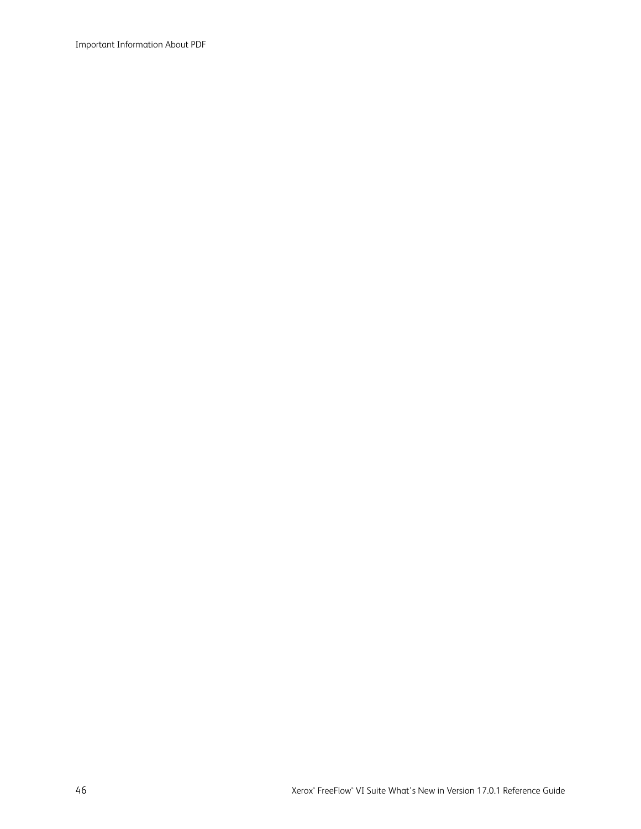Important [Information](#page-40-0) About PDF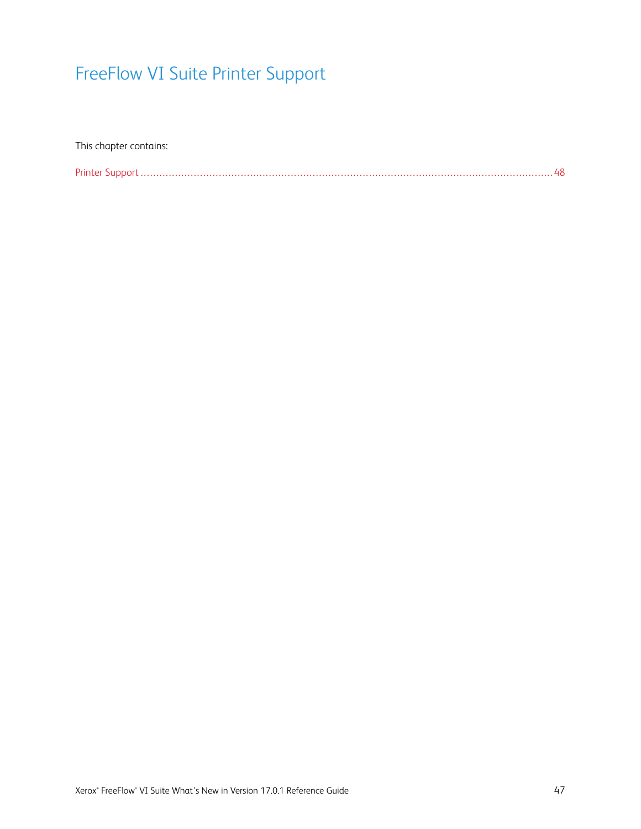## <span id="page-46-0"></span>FreeFlow VI Suite Printer Support

| This chapter contains: |  |
|------------------------|--|
|                        |  |
|                        |  |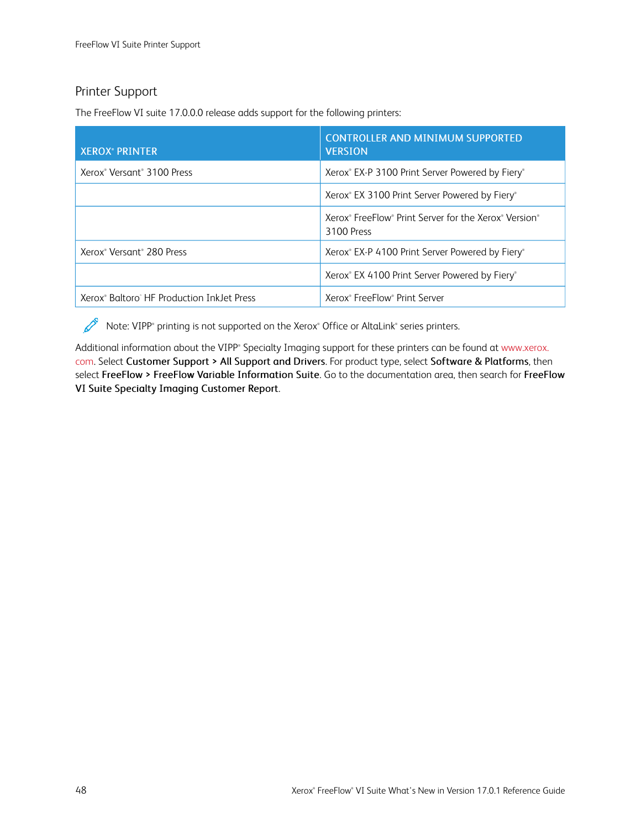## <span id="page-47-0"></span>Printer Support

The FreeFlow VI suite 17.0.0.0 release adds support for the following printers:

| <b>XEROX</b> <sup>®</sup> PRINTER                                  | <b>CONTROLLER AND MINIMUM SUPPORTED</b><br><b>VERSION</b>                                   |
|--------------------------------------------------------------------|---------------------------------------------------------------------------------------------|
| Xerox <sup>®</sup> Versant <sup>®</sup> 3100 Press                 | Xerox® EX-P 3100 Print Server Powered by Fiery®                                             |
|                                                                    | Xerox® EX 3100 Print Server Powered by Fiery®                                               |
|                                                                    | Xerox <sup>®</sup> FreeFlow <sup>®</sup> Print Server for the Xerox® Version®<br>3100 Press |
| Xerox <sup>®</sup> Versant <sup>®</sup> 280 Press                  | Xerox® EX-P 4100 Print Server Powered by Fiery®                                             |
|                                                                    | Xerox® EX 4100 Print Server Powered by Fiery®                                               |
| Xerox <sup>®</sup> Baltoro <sup>®</sup> HF Production InkJet Press | Xerox® FreeFlow® Print Server                                                               |

Note: VIPP<sup>®</sup> printing is not supported on the Xerox® Office or AltaLink® series printers.

Additional information about the VIPP® Specialty Imaging support for these printers can be found at [www.xerox.](https://www.xerox.com) [com.](https://www.xerox.com) Select Customer Support > All Support and Drivers. For product type, select Software & Platforms, then select FreeFlow > FreeFlow Variable Information Suite. Go to the documentation area, then search for FreeFlow VI Suite Specialty Imaging Customer Report.